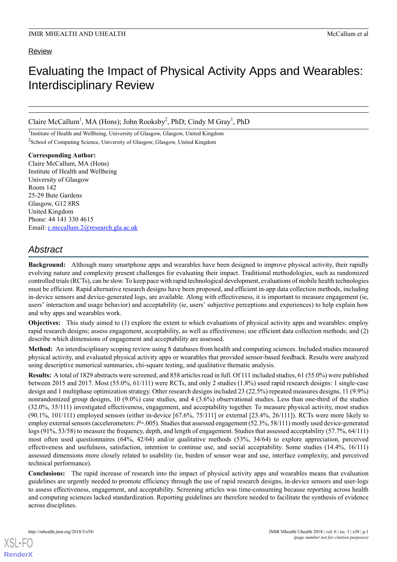### Review

# Evaluating the Impact of Physical Activity Apps and Wearables: Interdisciplinary Review

Claire McCallum<sup>1</sup>, MA (Hons); John Rooksby<sup>2</sup>, PhD; Cindy M Gray<sup>1</sup>, PhD

<sup>1</sup>Institute of Health and Wellbeing, University of Glasgow, Glasgow, United Kingdom <sup>2</sup> School of Computing Science, University of Glasgow, Glasgow, United Kingdom

**Corresponding Author:** Claire McCallum, MA (Hons) Institute of Health and Wellbeing University of Glasgow Room 142 25-29 Bute Gardens Glasgow, G12 8RS United Kingdom Phone: 44 141 330 4615 Email: [c.mccallum.2@research.gla.ac.uk](mailto:c.mccallum.2@research.gla.ac.uk)

## *Abstract*

**Background:** Although many smartphone apps and wearables have been designed to improve physical activity, their rapidly evolving nature and complexity present challenges for evaluating their impact. Traditional methodologies, such as randomized controlled trials (RCTs), can be slow. To keep pace with rapid technological development, evaluations of mobile health technologies must be efficient. Rapid alternative research designs have been proposed, and efficient in-app data collection methods, including in-device sensors and device-generated logs, are available. Along with effectiveness, it is important to measure engagement (ie, users' interaction and usage behavior) and acceptability (ie, users' subjective perceptions and experiences) to help explain how and why apps and wearables work.

**Objectives:** This study aimed to (1) explore the extent to which evaluations of physical activity apps and wearables: employ rapid research designs; assess engagement, acceptability, as well as effectiveness; use efficient data collection methods; and (2) describe which dimensions of engagement and acceptability are assessed.

**Method:** An interdisciplinary scoping review using 8 databases from health and computing sciences. Included studies measured physical activity, and evaluated physical activity apps or wearables that provided sensor-based feedback. Results were analyzed using descriptive numerical summaries, chi-square testing, and qualitative thematic analysis.

**Results:** A total of 1829 abstracts were screened, and 858 articles read in full. Of 111 included studies, 61 (55.0%) were published between 2015 and 2017. Most (55.0%, 61/111) were RCTs, and only 2 studies (1.8%) used rapid research designs: 1 single-case design and 1 multiphase optimization strategy. Other research designs included 23 (22.5%) repeated measures designs, 11 (9.9%) nonrandomized group designs, 10 (9.0%) case studies, and 4 (3.6%) observational studies. Less than one-third of the studies (32.0%, 35/111) investigated effectiveness, engagement, and acceptability together. To measure physical activity, most studies  $(90.1\%, 101/111)$  employed sensors (either in-device  $[67.6\%, 75/111]$  or external  $[23.4\%, 26/111]$ ). RCTs were more likely to employ external sensors (accelerometers:  $P=0.005$ ). Studies that assessed engagement (52.3%, 58/111) mostly used device-generated logs (91%, 53/58) to measure the frequency, depth, and length of engagement. Studies that assessed acceptability (57.7%, 64/111) most often used questionnaires (64%, 42/64) and/or qualitative methods (53%, 34/64) to explore appreciation, perceived effectiveness and usefulness, satisfaction, intention to continue use, and social acceptability. Some studies (14.4%, 16/111) assessed dimensions more closely related to usability (ie, burden of sensor wear and use, interface complexity, and perceived technical performance).

**Conclusions:** The rapid increase of research into the impact of physical activity apps and wearables means that evaluation guidelines are urgently needed to promote efficiency through the use of rapid research designs, in-device sensors and user-logs to assess effectiveness, engagement, and acceptability. Screening articles was time-consuming because reporting across health and computing sciences lacked standardization. Reporting guidelines are therefore needed to facilitate the synthesis of evidence across disciplines.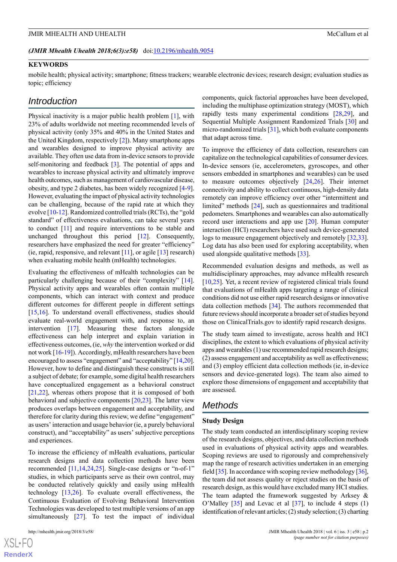#### *(JMIR Mhealth Uhealth 2018;6(3):e58)* doi[:10.2196/mhealth.9054](http://dx.doi.org/10.2196/mhealth.9054)

#### **KEYWORDS**

mobile health; physical activity; smartphone; fitness trackers; wearable electronic devices; research design; evaluation studies as topic; efficiency

### *Introduction*

Physical inactivity is a major public health problem [[1\]](#page-9-0), with 23% of adults worldwide not meeting recommended levels of physical activity (only 35% and 40% in the United States and the United Kingdom, respectively [[2\]](#page-9-1)). Many smartphone apps and wearables designed to improve physical activity are available. They often use data from in-device sensors to provide self-monitoring and feedback [\[3](#page-9-2)]. The potential of apps and wearables to increase physical activity and ultimately improve health outcomes, such as management of cardiovascular disease, obesity, and type 2 diabetes, has been widely recognized [\[4-](#page-9-3)[9\]](#page-10-0). However, evaluating the impact of physical activity technologies can be challenging, because of the rapid rate at which they evolve [\[10](#page-10-1)-[12\]](#page-10-2). Randomized controlled trials (RCTs), the "gold standard" of effectiveness evaluations, can take several years to conduct [[11\]](#page-10-3) and require interventions to be stable and unchanged throughout this period [[12\]](#page-10-2). Consequently, researchers have emphasized the need for greater "efficiency" (ie, rapid, responsive, and relevant  $[11]$  $[11]$  $[11]$ , or agile  $[13]$  $[13]$  research) when evaluating mobile health (mHealth) technologies.

Evaluating the effectiveness of mHealth technologies can be particularly challenging because of their "complexity" [[14\]](#page-10-5). Physical activity apps and wearables often contain multiple components, which can interact with context and produce different outcomes for different people in different settings [[15](#page-10-6)[,16](#page-10-7)]. To understand overall effectiveness, studies should evaluate real-world engagement with, and response to, an intervention [[17\]](#page-10-8). Measuring these factors alongside effectiveness can help interpret and explain variation in effectiveness outcomes, (ie, *why* the intervention worked or did not work [[16-](#page-10-7)[19\]](#page-10-9)). Accordingly, mHealth researchers have been encouraged to assess "engagement" and "acceptability" [[14,](#page-10-5)[20\]](#page-10-10). However, how to define and distinguish these constructs is still a subject of debate; for example, some digital health researchers have conceptualized engagement as a behavioral construct [[21](#page-10-11)[,22](#page-10-12)], whereas others propose that it is composed of both behavioral and subjective components [[20,](#page-10-10)[23](#page-10-13)]. The latter view produces overlaps between engagement and acceptability, and therefore for clarity during this review, we define "engagement" as users' interaction and usage behavior (ie, a purely behavioral construct), and "acceptability" as users' subjective perceptions and experiences.

To increase the efficiency of mHealth evaluations, particular research designs and data collection methods have been recommended [\[11,](#page-10-3)[14](#page-10-5),[24,](#page-10-14)[25](#page-10-15)]. Single-case designs or "n-of-1" studies, in which participants serve as their own control, may be conducted relatively quickly and easily using mHealth technology  $[13,26]$  $[13,26]$  $[13,26]$ . To evaluate overall effectiveness, the Continuous Evaluation of Evolving Behavioral Intervention Technologies was developed to test multiple versions of an app simultaneously [\[27](#page-10-17)]. To test the impact of individual

components, quick factorial approaches have been developed, including the multiphase optimization strategy (MOST), which rapidly tests many experimental conditions [\[28](#page-10-18),[29\]](#page-11-0), and Sequential Multiple Assignment Randomized Trials [[30\]](#page-11-1) and micro-randomized trials [[31\]](#page-11-2), which both evaluate components that adapt across time.

To improve the efficiency of data collection, researchers can capitalize on the technological capabilities of consumer devices. In-device sensors (ie, accelerometers, gyroscopes, and other sensors embedded in smartphones and wearables) can be used to measure outcomes objectively [\[24](#page-10-14),[26\]](#page-10-16). Their internet connectivity and ability to collect continuous, high-density data remotely can improve efficiency over other "intermittent and limited" methods [\[24](#page-10-14)], such as questionnaires and traditional pedometers. Smartphones and wearables can also automatically record user interactions and app use [[20\]](#page-10-10). Human computer interaction (HCI) researchers have used such device-generated logs to measure engagement objectively and remotely [\[32](#page-11-3),[33\]](#page-11-4). Log data has also been used for exploring acceptability, when used alongside qualitative methods [[33\]](#page-11-4).

Recommended evaluation designs and methods, as well as multidisciplinary approaches, may advance mHealth research [[10,](#page-10-1)[25\]](#page-10-15). Yet, a recent review of registered clinical trials found that evaluations of mHealth apps targeting a range of clinical conditions did not use either rapid research designs or innovative data collection methods [[34\]](#page-11-5). The authors recommended that future reviews should incorporate a broader set of studies beyond those on ClinicalTrials.gov to identify rapid research designs.

The study team aimed to investigate, across health and HCI disciplines, the extent to which evaluations of physical activity apps and wearables (1) use recommended rapid research designs; (2) assess engagement and acceptability as well as effectiveness; and (3) employ efficient data collection methods (ie, in-device sensors and device-generated logs). The team also aimed to explore those dimensions of engagement and acceptability that are assessed.

### *Methods*

#### **Study Design**

The study team conducted an interdisciplinary scoping review of the research designs, objectives, and data collection methods used in evaluations of physical activity apps and wearables. Scoping reviews are used to rigorously and comprehensively map the range of research activities undertaken in an emerging field [[35](#page-11-6)]. In accordance with scoping review methodology [\[36](#page-11-7)], the team did not assess quality or reject studies on the basis of research design, as this would have excluded many HCI studies. The team adapted the framework suggested by Arksey  $\&$ O'Malley [\[35](#page-11-6)] and Levac et al [[37\]](#page-11-8), to include 4 steps (1) identification of relevant articles; (2) study selection; (3) charting

 $XS$  • FC **[RenderX](http://www.renderx.com/)**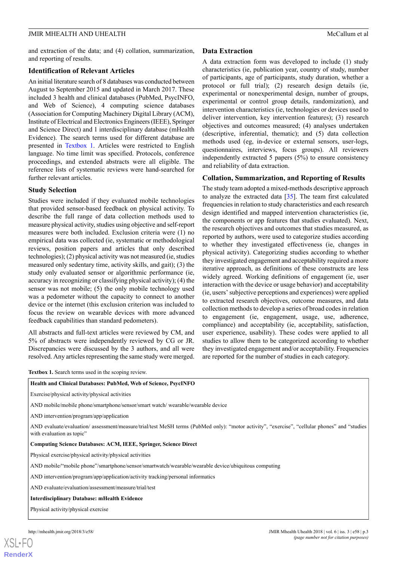and extraction of the data; and (4) collation, summarization, and reporting of results.

### **Identification of Relevant Articles**

An initial literature search of 8 databases was conducted between August to September 2015 and updated in March 2017. These included 3 health and clinical databases (PubMed, PsycINFO, and Web of Science), 4 computing science databases (Association for Computing Machinery Digital Library (ACM), Institute of Electrical and Electronics Engineers (IEEE), Springer and Science Direct) and 1 interdisciplinary database (mHealth Evidence). The search terms used for different database are presented in [Textbox 1.](#page-2-0) Articles were restricted to English language. No time limit was specified. Protocols, conference proceedings, and extended abstracts were all eligible. The reference lists of systematic reviews were hand-searched for further relevant articles.

### **Study Selection**

Studies were included if they evaluated mobile technologies that provided sensor-based feedback on physical activity. To describe the full range of data collection methods used to measure physical activity, studies using objective and self-report measures were both included. Exclusion criteria were (1) no empirical data was collected (ie, systematic or methodological reviews, position papers and articles that only described technologies); (2) physical activity was not measured (ie, studies measured only sedentary time, activity skills, and gait); (3) the study only evaluated sensor or algorithmic performance (ie, accuracy in recognizing or classifying physical activity); (4) the sensor was not mobile; (5) the only mobile technology used was a pedometer without the capacity to connect to another device or the internet (this exclusion criterion was included to focus the review on wearable devices with more advanced feedback capabilities than standard pedometers).

<span id="page-2-0"></span>All abstracts and full-text articles were reviewed by CM, and 5% of abstracts were independently reviewed by CG or JR. Discrepancies were discussed by the 3 authors, and all were resolved. Any articles representing the same study were merged.

### **Data Extraction**

A data extraction form was developed to include (1) study characteristics (ie, publication year, country of study, number of participants, age of participants, study duration, whether a protocol or full trial); (2) research design details (ie, experimental or nonexperimental design, number of groups, experimental or control group details, randomization), and intervention characteristics (ie, technologies or devices used to deliver intervention, key intervention features); (3) research objectives and outcomes measured; (4) analyses undertaken (descriptive, inferential, thematic); and (5) data collection methods used (eg, in-device or external sensors, user-logs, questionnaires, interviews, focus groups). All reviewers independently extracted 5 papers (5%) to ensure consistency and reliability of data extraction.

### **Collation, Summarization, and Reporting of Results**

The study team adopted a mixed-methods descriptive approach to analyze the extracted data [[35\]](#page-11-6). The team first calculated frequencies in relation to study characteristics and each research design identified and mapped intervention characteristics (ie, the components or app features that studies evaluated). Next, the research objectives and outcomes that studies measured, as reported by authors, were used to categorize studies according to whether they investigated effectiveness (ie, changes in physical activity). Categorizing studies according to whether they investigated engagement and acceptability required a more iterative approach, as definitions of these constructs are less widely agreed. Working definitions of engagement (ie, user interaction with the device or usage behavior) and acceptability (ie, users' subjective perceptions and experiences) were applied to extracted research objectives, outcome measures, and data collection methods to develop a series of broad codes in relation to engagement (ie, engagement, usage, use, adherence, compliance) and acceptability (ie, acceptability, satisfaction, user experience, usability). These codes were applied to all studies to allow them to be categorized according to whether they investigated engagement and/or acceptability. Frequencies are reported for the number of studies in each category.

**Textbox 1.** Search terms used in the scoping review.

**[RenderX](http://www.renderx.com/)**

| Health and Clinical Databases: PubMed, Web of Science, PsycINFO                                                                                                            |  |
|----------------------------------------------------------------------------------------------------------------------------------------------------------------------------|--|
| Exercise/physical activity/physical activities                                                                                                                             |  |
| AND mobile/mobile phone/smartphone/sensor/smart watch/ wearable/wearable device                                                                                            |  |
| AND intervention/program/app/application                                                                                                                                   |  |
| AND evaluate/evaluation/ assessment/measure/trial/test MeSH terms (PubMed only): "motor activity", "exercise", "cellular phones" and "studies<br>with evaluation as topic" |  |
| <b>Computing Science Databases: ACM, IEEE, Springer, Science Direct</b>                                                                                                    |  |
| Physical exercise/physical activity/physical activities                                                                                                                    |  |
| AND mobile/"mobile phone"/smartphone/sensor/smartwatch/wearable/wearable device/ubiquitous computing                                                                       |  |
| AND intervention/program/app/application/activity tracking/personal informatics                                                                                            |  |
| AND evaluate/evaluation/assessment/measure/trial/test                                                                                                                      |  |
| <b>Interdisciplinary Database: mHealth Evidence</b>                                                                                                                        |  |
| Physical activity/physical exercise                                                                                                                                        |  |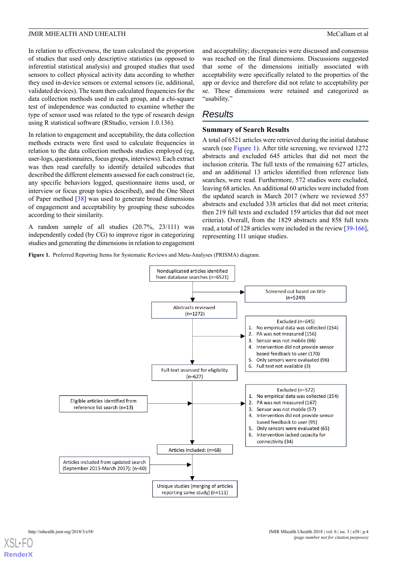In relation to effectiveness, the team calculated the proportion of studies that used only descriptive statistics (as opposed to inferential statistical analysis) and grouped studies that used sensors to collect physical activity data according to whether they used in-device sensors or external sensors (ie, additional, validated devices). The team then calculated frequencies for the data collection methods used in each group, and a chi-square test of independence was conducted to examine whether the type of sensor used was related to the type of research design using R statistical software (RStudio, version 1.0.136).

In relation to engagement and acceptability, the data collection methods extracts were first used to calculate frequencies in relation to the data collection methods studies employed (eg, user-logs, questionnaires, focus groups, interviews). Each extract was then read carefully to identify detailed subcodes that described the different elements assessed for each construct (ie, any specific behaviors logged, questionnaire items used, or interview or focus group topics described), and the One Sheet of Paper method [\[38](#page-11-9)] was used to generate broad dimensions of engagement and acceptability by grouping these subcodes according to their similarity.

<span id="page-3-0"></span>A random sample of all studies (20.7%, 23/111) was independently coded (by CG) to improve rigor in categorizing studies and generating the dimensions in relation to engagement and acceptability; discrepancies were discussed and consensus was reached on the final dimensions. Discussions suggested that some of the dimensions initially associated with acceptability were specifically related to the properties of the app or device and therefore did not relate to acceptability per se. These dimensions were retained and categorized as "usability."

### *Results*

### **Summary of Search Results**

A total of 6521 articles were retrieved during the initial database search (see [Figure 1\)](#page-3-0). After title screening, we reviewed 1272 abstracts and excluded 645 articles that did not meet the inclusion criteria. The full texts of the remaining 627 articles, and an additional 13 articles identified from reference lists searches, were read. Furthermore, 572 studies were excluded, leaving 68 articles. An additional 60 articles were included from the updated search in March 2017 (where we reviewed 557 abstracts and excluded 338 articles that did not meet criteria; then 219 full texts and excluded 159 articles that did not meet criteria). Overall, from the 1829 abstracts and 858 full texts read, a total of 128 articles were included in the review [\[39](#page-11-10)[-166](#page-17-0)], representing 111 unique studies.

**Figure 1.** Preferred Reporting Items for Systematic Reviews and Meta-Analyses (PRISMA) diagram.

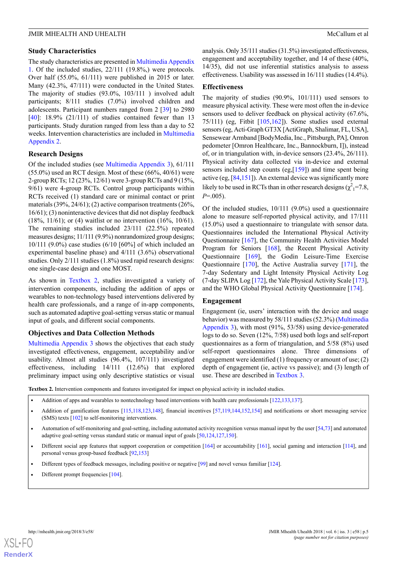### **Study Characteristics**

The study characteristics are presented in [Multimedia Appendix](#page-9-4) [1.](#page-9-4) Of the included studies, 22/111 (19.8%,) were protocols. Over half (55.0%, 61/111) were published in 2015 or later. Many (42.3%, 47/111) were conducted in the United States. The majority of studies (93.0%, 103/111 ) involved adult participants; 8/111 studies (7.0%) involved children and adolescents. Participant numbers ranged from 2 [[39\]](#page-11-10) to 2980 [[40\]](#page-11-11): 18.9% (21/111) of studies contained fewer than 13 participants. Study duration ranged from less than a day to 52 weeks. Intervention characteristics are included in [Multimedia](#page-9-5) [Appendix 2](#page-9-5).

### **Research Designs**

Of the included studies (see [Multimedia Appendix 3\)](#page-9-6), 61/111  $(55.0\%)$  used an RCT design. Most of these  $(66\%, 40/61)$  were 2-group RCTs; 12 (23%, 12/61) were 3-group RCTs and 9 (15%, 9/61) were 4-group RCTs. Control group participants within RCTs received (1) standard care or minimal contact or print materials (39%, 24/61); (2) active comparison treatments (26%, 16/61); (3) noninteractive devices that did not display feedback (18%, 11/61); or (4) waitlist or no intervention (16%, 10/61). The remaining studies included 23/111 (22.5%) repeated measures designs; 11/111 (9.9%) nonrandomized group designs; 10/111 (9.0%) case studies (6/10 [60%] of which included an experimental baseline phase) and 4/111 (3.6%) observational studies. Only 2/111 studies (1.8%) used rapid research designs: one single-case design and one MOST.

As shown in [Textbox 2](#page-4-0), studies investigated a variety of intervention components, including the addition of apps or wearables to non-technology based interventions delivered by health care professionals, and a range of in-app components, such as automated adaptive goal-setting versus static or manual input of goals, and different social components.

### **Objectives and Data Collection Methods**

<span id="page-4-0"></span>[Multimedia Appendix 3](#page-9-6) shows the objectives that each study investigated effectiveness, engagement, acceptability and/or usability. Almost all studies (96.4%, 107/111) investigated effectiveness, including 14/111 (12.6%) that explored preliminary impact using only descriptive statistics or visual

analysis. Only 35/111 studies (31.5%) investigated effectiveness, engagement and acceptability together, and 14 of these (40%, 14/35), did not use inferential statistics analysis to assess effectiveness. Usability was assessed in 16/111 studies (14.4%).

### **Effectiveness**

The majority of studies (90.9%, 101/111) used sensors to measure physical activity. These were most often the in-device sensors used to deliver feedback on physical activity (67.6%, 75/111) (eg, Fitbit [[105,](#page-14-0)[162](#page-17-1)]). Some studies used external sensors (eg, Acti-Graph GT3X [ActiGraph, Shalimar, FL, USA], Sensewear Armband [BodyMedia, Inc., Pittsburgh, PA], Omron pedometer [Omron Healthcare, Inc., Bannockburn, I]), instead of, or in triangulation with, in-device sensors (23.4%, 26/111). Physical activity data collected via in-device and external sensors included step counts (eg,[[159\]](#page-17-2)) and time spent being active (eg, [[84,](#page-13-0)[151\]](#page-16-0)). An external device was significantly more likely to be used in RCTs than in other research designs  $(\chi^2)^2 = 7.8$ , *P*=.005).

Of the included studies, 10/111 (9.0%) used a questionnaire alone to measure self-reported physical activity, and 17/111 (15.0%) used a questionnaire to triangulate with sensor data. Questionnaires included the International Physical Activity Questionnaire [[167\]](#page-17-3), the Community Health Activities Model Program for Seniors [\[168](#page-17-4)], the Recent Physical Activity Questionnaire [[169\]](#page-17-5), the Godin Leisure-Time Exercise Questionnaire [\[170](#page-17-6)], the Active Australia survey [\[171](#page-18-0)], the 7-day Sedentary and Light Intensity Physical Activity Log (7-day SLIPA Log [[172\]](#page-18-1), the Yale Physical Activity Scale [\[173](#page-18-2)], and the WHO Global Physical Activity Questionnaire [[174\]](#page-18-3).

### **Engagement**

Engagement (ie, users' interaction with the device and usage behavior) was measured by 58/111 studies (52.3%) ([Multimedia](#page-9-6) [Appendix 3](#page-9-6)), with most (91%, 53/58) using device-generated logs to do so. Seven (12%, 7/58) used both logs and self-report questionnaires as a form of triangulation, and 5/58 (8%) used self-report questionnaires alone. Three dimensions of engagement were identified (1) frequency or amount of use; (2) depth of engagement (ie, active vs passive); and (3) length of use. These are described in [Textbox 3](#page-5-0).

**Textbox 2.** Intervention components and features investigated for impact on physical activity in included studies.

- Addition of apps and wearables to nontechnology based interventions with health care professionals [[122](#page-15-0)[,133](#page-16-1)[,137](#page-16-2)].
- Addition of gamification features [[115](#page-15-1)[,118,](#page-15-2)[123](#page-15-3),[148](#page-16-3)], financial incentives [\[57,](#page-12-0)[119](#page-15-4),[144](#page-16-4)[,152](#page-17-7)[,154](#page-17-8)] and notifications or short messaging service (SMS) texts [\[102](#page-14-1)] to self-monitoring interventions.
- Automation of self-monitoring and goal-setting, including automated activity recognition versus manual input by the user  $[54,73]$  $[54,73]$  and automated adaptive goal-setting versus standard static or manual input of goals [\[50,](#page-11-12)[124,](#page-15-5)[127,](#page-15-6)[150\]](#page-16-5).
- Different social app features that support cooperation or competition  $[164]$  $[164]$  $[164]$  or accountability  $[161]$  $[161]$ , social gaming and interaction  $[114]$ , and personal versus group-based feedback [[92,](#page-14-2)[153](#page-17-11)]
- Different types of feedback messages, including positive or negative [\[99\]](#page-14-3) and novel versus familiar [[124](#page-15-5)].
- Different prompt frequencies [\[104](#page-14-4)].

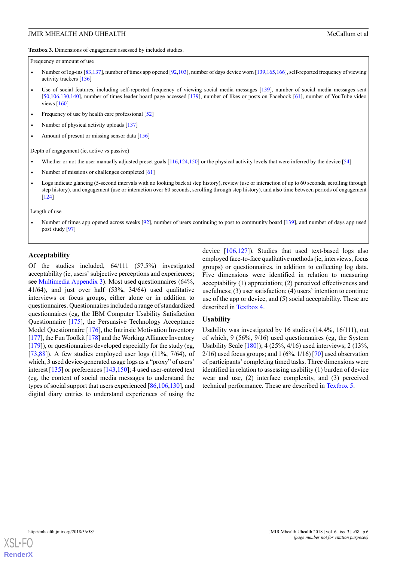<span id="page-5-0"></span>**Textbox 3.** Dimensions of engagement assessed by included studies.

Frequency or amount of use

- Number of log-ins [\[83,](#page-13-2)[137\]](#page-16-2), number of times app opened [[92](#page-14-2)[,103\]](#page-14-5), number of days device worn [\[139,](#page-16-6)[165,](#page-17-12)[166](#page-17-0)], self-reported frequency of viewing activity trackers [[136\]](#page-16-7)
- Use of social features, including self-reported frequency of viewing social media messages [\[139\]](#page-16-6), number of social media messages sent [\[50,](#page-11-12)[106,](#page-14-6)[130,](#page-15-8)[140](#page-16-8)], number of times leader board page accessed [\[139\]](#page-16-6), number of likes or posts on Facebook [[61](#page-12-2)], number of YouTube video views [\[160](#page-17-13)]
- Frequency of use by health care professional  $[52]$
- Number of physical activity uploads [\[137\]](#page-16-2)
- Amount of present or missing sensor data [\[156\]](#page-17-14)

Depth of engagement (ie, active vs passive)

- Whether or not the user manually adjusted preset goals  $[116,124,150]$  $[116,124,150]$  $[116,124,150]$  $[116,124,150]$  or the physical activity levels that were inferred by the device  $[54]$  $[54]$  $[54]$
- Number of missions or challenges completed [\[61\]](#page-12-2)
- Logs indicate glancing (5-second intervals with no looking back at step history), review (use or interaction of up to 60 seconds, scrolling through step history), and engagement (use or interaction over 60 seconds, scrolling through step history), and also time between periods of engagement [\[124](#page-15-5)]

Length of use

Number of times app opened across weeks [\[92\]](#page-14-2), number of users continuing to post to community board [\[139](#page-16-6)], and number of days app used post study [\[97\]](#page-14-7)

#### **Acceptability**

Of the studies included, 64/111 (57.5%) investigated acceptability (ie, users' subjective perceptions and experiences; see [Multimedia Appendix 3](#page-9-6)). Most used questionnaires (64%, 41/64), and just over half (53%, 34/64) used qualitative interviews or focus groups, either alone or in addition to questionnaires. Questionnaires included a range of standardized questionnaires (eg, the IBM Computer Usability Satisfaction Questionnaire [[175\]](#page-18-4), the Persuasive Technology Acceptance Model Questionnaire [[176\]](#page-18-5), the Intrinsic Motivation Inventory [[177](#page-18-6)], the Fun Toolkit [\[178](#page-18-7)] and the Working Alliance Inventory [[179\]](#page-18-8)), or questionnaires developed especially for the study (eg, [[73](#page-13-1)[,88](#page-13-3)]). A few studies employed user logs  $(11\%, 7/64)$ , of which, 3 used device-generated usage logs as a "proxy" of users' interest [[135\]](#page-16-9) or preferences [\[143](#page-16-10),[150\]](#page-16-5); 4 used user-entered text (eg, the content of social media messages to understand the types of social support that users experienced [[86](#page-13-4)[,106](#page-14-6),[130\]](#page-15-8), and digital diary entries to understand experiences of using the device [[106](#page-14-6)[,127\]](#page-15-6)). Studies that used text-based logs also employed face-to-face qualitative methods (ie, interviews, focus groups) or questionnaires, in addition to collecting log data. Five dimensions were identified in relation to measuring acceptability (1) appreciation; (2) perceived effectiveness and usefulness; (3) user satisfaction; (4) users' intention to continue use of the app or device, and (5) social acceptability. These are described in [Textbox 4.](#page-6-0)

### **Usability**

Usability was investigated by 16 studies (14.4%, 16/111), out of which, 9 (56%, 9/16) used questionnaires (eg, the System Usability Scale [[180\]](#page-18-9)); 4 (25%, 4/16) used interviews; 2 (13%,  $2/16$ ) used focus groups; and 1 (6%,  $1/16$ ) [[70](#page-12-4)] used observation of participants' completing timed tasks. Three dimensions were identified in relation to assessing usability (1) burden of device wear and use, (2) interface complexity, and (3) perceived technical performance. These are described in [Textbox 5.](#page-7-0)

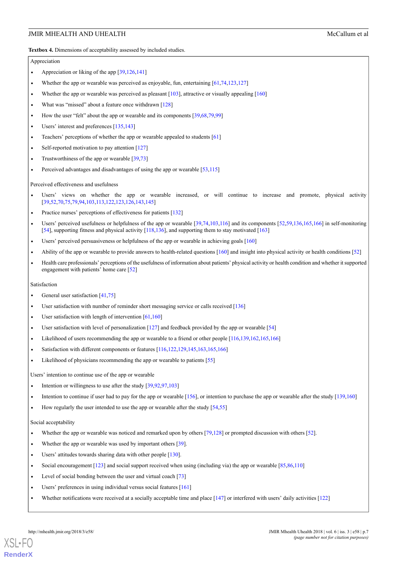<span id="page-6-0"></span>**Textbox 4.** Dimensions of acceptability assessed by included studies.

#### Appreciation

- Appreciation or liking of the app [\[39,](#page-11-10)[126](#page-15-10)[,141](#page-16-11)]
- Whether the app or wearable was perceived as enjoyable, fun, entertaining [[61](#page-12-2)[,74,](#page-13-5)[123,](#page-15-3)[127\]](#page-15-6)
- Whether the app or wearable was perceived as pleasant  $[103]$ , attractive or visually appealing  $[160]$  $[160]$
- What was "missed" about a feature once withdrawn  $[128]$  $[128]$  $[128]$
- How the user "felt" about the app or wearable and its components [\[39,](#page-11-10)[68](#page-12-5)[,79](#page-13-6)[,99\]](#page-14-3)
- Users' interest and preferences [\[135](#page-16-9)[,143](#page-16-10)]
- Teachers' perceptions of whether the app or wearable appealed to students  $[61]$
- Self-reported motivation to pay attention [\[127\]](#page-15-6)
- Trustworthiness of the app or wearable  $\lceil 39, 73 \rceil$  $\lceil 39, 73 \rceil$  $\lceil 39, 73 \rceil$  $\lceil 39, 73 \rceil$  $\lceil 39, 73 \rceil$
- Perceived advantages and disadvantages of using the app or wearable  $[53,115]$  $[53,115]$  $[53,115]$

Perceived effectiveness and usefulness

- Users' views on whether the app or wearable increased, or will continue to increase and promote, physical activity [\[39,](#page-11-10)[52](#page-12-3),[70](#page-12-4)[,75,](#page-13-7)[79](#page-13-6)[,94](#page-14-8)[,103,](#page-14-5)[113](#page-15-12)[,122](#page-15-0)[,123](#page-15-3)[,126](#page-15-10)[,143,](#page-16-10)[145\]](#page-16-12)
- Practice nurses' perceptions of effectiveness for patients [[132\]](#page-16-13)
- Users' perceived usefulness or helpfulness of the app or wearable [[39](#page-11-10)[,74,](#page-13-5)[103,](#page-14-5)[116](#page-15-9)] and its components [[52](#page-12-3),[59](#page-12-7)[,136,](#page-16-7)[165,](#page-17-12)[166\]](#page-17-0) in self-monitoring [\[54\]](#page-12-1), supporting fitness and physical activity [[118](#page-15-2),[136](#page-16-7)], and supporting them to stay motivated [[163\]](#page-17-15)
- Users' perceived persuasiveness or helpfulness of the app or wearable in achieving goals [\[160](#page-17-13)]
- Ability of the app or wearable to provide answers to health-related questions [[160](#page-17-13)] and insight into physical activity or health conditions [[52](#page-12-3)]
- Health care professionals' perceptions of the usefulness of information about patients' physical activity or health condition and whether it supported engagement with patients' home care [\[52\]](#page-12-3)

#### Satisfaction

- General user satisfaction [\[41,](#page-11-13)[75](#page-13-7)]
- User satisfaction with number of reminder short messaging service or calls received [[136](#page-16-7)]
- User satisfaction with length of intervention  $[61,160]$  $[61,160]$
- User satisfaction with level of personalization  $[127]$  $[127]$  and feedback provided by the app or wearable  $[54]$  $[54]$  $[54]$
- Likelihood of users recommending the app or wearable to a friend or other people [\[116](#page-15-9),[139](#page-16-6),[162](#page-17-1)[,165](#page-17-12)[,166\]](#page-17-0)
- Satisfaction with different components or features [\[116,](#page-15-9)[122,](#page-15-0)[129,](#page-15-13)[145](#page-16-12)[,163](#page-17-15)[,165](#page-17-12)[,166](#page-17-0)]
- Likelihood of physicians recommending the app or wearable to patients  $[55]$

Users' intention to continue use of the app or wearable

Intention or willingness to use after the study [\[39,](#page-11-10)[92](#page-14-2)[,97,](#page-14-7)[103\]](#page-14-5)

Intention to continue if user had to pay for the app or wearable [\[156\]](#page-17-14), or intention to purchase the app or wearable after the study [[139,](#page-16-6)[160\]](#page-17-13)

• How regularly the user intended to use the app or wearable after the study  $[54,55]$  $[54,55]$  $[54,55]$ 

#### Social acceptability

- Whether the app or wearable was noticed and remarked upon by others [\[79,](#page-13-6)[128\]](#page-15-11) or prompted discussion with others [[52](#page-12-3)].
- Whether the app or wearable was used by important others [\[39\]](#page-11-10).
- Users' attitudes towards sharing data with other people [\[130](#page-15-8)].
- Social encouragement [[123](#page-15-3)] and social support received when using (including via) the app or wearable [\[85,](#page-13-8)[86](#page-13-4),[110\]](#page-14-9)
- Level of social bonding between the user and virtual coach [[73](#page-13-1)]
- Users' preferences in using individual versus social features [[161](#page-17-10)]
- Whether notifications were received at a socially acceptable time and place [[147\]](#page-16-14) or interfered with users' daily activities [\[122](#page-15-0)]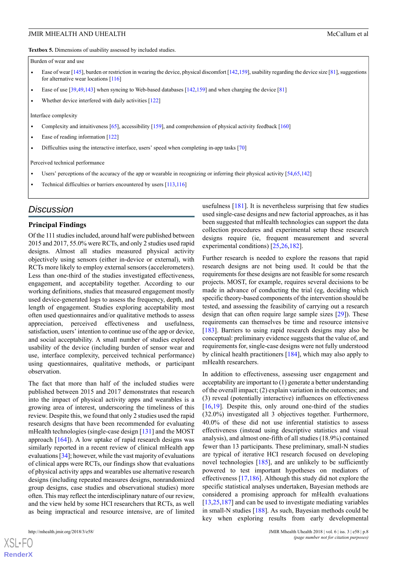<span id="page-7-0"></span>**Textbox 5.** Dimensions of usability assessed by included studies.

Burden of wear and use

- Ease of wear [[145](#page-16-12)], burden or restriction in wearing the device, physical discomfort [[142](#page-16-15),[159](#page-17-2)], usability regarding the device size [[81\]](#page-13-9), suggestions for alternative wear locations [[116](#page-15-9)]
- Ease of use  $[39,49,143]$  $[39,49,143]$  $[39,49,143]$  $[39,49,143]$  when syncing to Web-based databases  $[142,159]$  $[142,159]$  and when charging the device  $[81]$  $[81]$  $[81]$
- Whether device interfered with daily activities  $[122]$

Interface complexity

- Complexity and intuitiveness [\[65\]](#page-12-9), accessibility [[159](#page-17-2)], and comprehension of physical activity feedback [\[160](#page-17-13)]
- Ease of reading information [\[122](#page-15-0)]
- Difficulties using the interactive interface, users' speed when completing in-app tasks [[70](#page-12-4)]

Perceived technical performance

- Users' perceptions of the accuracy of the app or wearable in recognizing or inferring their physical activity [[54](#page-12-1)[,65,](#page-12-9)[142\]](#page-16-15)
- Technical difficulties or barriers encountered by users [\[113,](#page-15-12)[116](#page-15-9)]

### *Discussion*

### **Principal Findings**

Of the 111 studies included, around half were published between 2015 and 2017, 55.0% were RCTs, and only 2 studies used rapid designs. Almost all studies measured physical activity objectively using sensors (either in-device or external), with RCTs more likely to employ external sensors (accelerometers). Less than one-third of the studies investigated effectiveness, engagement, and acceptability together. According to our working definitions, studies that measured engagement mostly used device-generated logs to assess the frequency, depth, and length of engagement. Studies exploring acceptability most often used questionnaires and/or qualitative methods to assess appreciation, perceived effectiveness and usefulness, satisfaction, users' intention to continue use of the app or device, and social acceptability. A small number of studies explored usability of the device (including burden of sensor wear and use, interface complexity, perceived technical performance) using questionnaires, qualitative methods, or participant observation.

The fact that more than half of the included studies were published between 2015 and 2017 demonstrates that research into the impact of physical activity apps and wearables is a growing area of interest, underscoring the timeliness of this review. Despite this, we found that only 2 studies used the rapid research designs that have been recommended for evaluating mHealth technologies (single-case design [[131\]](#page-15-14) and the MOST approach  $[164]$  $[164]$ ). A low uptake of rapid research designs was similarly reported in a recent review of clinical mHealth app evaluations [\[34\]](#page-11-5); however, while the vast majority of evaluations of clinical apps were RCTs, our findings show that evaluations of physical activity apps and wearables use alternative research designs (including repeated measures designs, nonrandomized group designs, case studies and observational studies) more often. This may reflect the interdisciplinary nature of our review, and the view held by some HCI researchers that RCTs, as well as being impractical and resource intensive, are of limited

 $XS$  $\cdot$ FC **[RenderX](http://www.renderx.com/)** usefulness [[181](#page-18-10)]. It is nevertheless surprising that few studies used single-case designs and new factorial approaches, as it has been suggested that mHealth technologies can support the data collection procedures and experimental setup these research designs require (ie, frequent measurement and several experimental conditions) [\[25](#page-10-15),[26,](#page-10-16)[182](#page-18-11)].

Further research is needed to explore the reasons that rapid research designs are not being used. It could be that the requirements for these designs are not feasible for some research projects. MOST, for example, requires several decisions to be made in advance of conducting the trial (eg, deciding which specific theory-based components of the intervention should be tested, and assessing the feasibility of carrying out a research design that can often require large sample sizes [\[29](#page-11-0)]). These requirements can themselves be time and resource intensive [[183\]](#page-18-12). Barriers to using rapid research designs may also be conceptual: preliminary evidence suggests that the value of, and requirements for, single-case designs were not fully understood by clinical health practitioners [\[184](#page-18-13)], which may also apply to mHealth researchers.

In addition to effectiveness, assessing user engagement and acceptability are important to (1) generate a better understanding of the overall impact; (2) explain variation in the outcomes; and (3) reveal (potentially interactive) influences on effectiveness [[16,](#page-10-7)[19\]](#page-10-9). Despite this, only around one-third of the studies (32.0%) investigated all 3 objectives together. Furthermore, 40.0% of these did not use inferential statistics to assess effectiveness (instead using descriptive statistics and visual analysis), and almost one-fifth of all studies (18.9%) contained fewer than 13 participants. These preliminary, small-N studies are typical of iterative HCI research focused on developing novel technologies [\[185](#page-18-14)], and are unlikely to be sufficiently powered to test important hypotheses on mediators of effectiveness [\[17](#page-10-8),[186\]](#page-18-15). Although this study did not explore the specific statistical analyses undertaken, Bayesian methods are considered a promising approach for mHealth evaluations [[13,](#page-10-4)[25,](#page-10-15)[187\]](#page-18-16) and can be used to investigate mediating variables in small-N studies [\[188](#page-18-17)]. As such, Bayesian methods could be key when exploring results from early developmental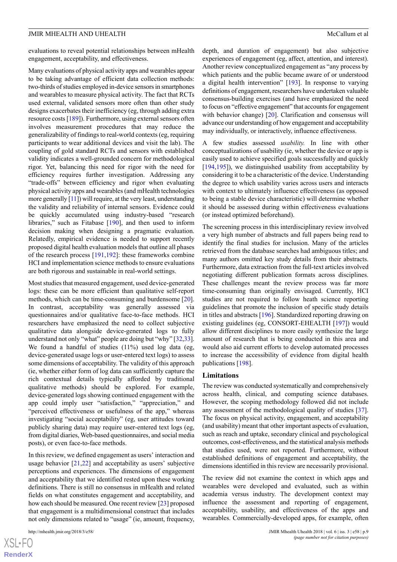evaluations to reveal potential relationships between mHealth engagement, acceptability, and effectiveness.

Many evaluations of physical activity apps and wearables appear to be taking advantage of efficient data collection methods: two-thirds of studies employed in-device sensors in smartphones and wearables to measure physical activity. The fact that RCTs used external, validated sensors more often than other study designs exacerbates their inefficiency (eg, through adding extra resource costs [\[189\]](#page-18-18)). Furthermore, using external sensors often involves measurement procedures that may reduce the generalizability of findings to real-world contexts (eg, requiring participants to wear additional devices and visit the lab). The coupling of gold standard RCTs and sensors with established validity indicates a well-grounded concern for methodological rigor. Yet, balancing this need for rigor with the need for efficiency requires further investigation. Addressing any "trade-offs" between efficiency and rigor when evaluating physical activity apps and wearables (and mHealth technologies more generally [[11](#page-10-3)]) will require, at the very least, understanding the validity and reliability of internal sensors. Evidence could be quickly accumulated using industry-based "research libraries," such as Fitabase [\[190](#page-18-19)], and then used to inform decision making when designing a pragmatic evaluation. Relatedly, empirical evidence is needed to support recently proposed digital health evaluation models that outline all phases of the research process [[191](#page-18-20),[192\]](#page-18-21): these frameworks combine HCI and implementation science methods to ensure evaluations are both rigorous and sustainable in real-world settings.

Most studies that measured engagement, used device-generated logs: these can be more efficient than qualitative self-report methods, which can be time-consuming and burdensome [[20\]](#page-10-10). In contrast, acceptability was generally assessed via questionnaires and/or qualitative face-to-face methods. HCI researchers have emphasized the need to collect subjective qualitative data alongside device-generated logs to fully understand not only "what" people are doing but "why" [[32,](#page-11-3)[33\]](#page-11-4). We found a handful of studies (11%) used log data (eg, device-generated usage logs or user-entered text logs) to assess some dimensions of acceptability. The validity of this approach (ie, whether either form of log data can sufficiently capture the rich contextual details typically afforded by traditional qualitative methods) should be explored. For example, device-generated logs showing continued engagement with the app could imply user "satisfaction," "appreciation," and "perceived effectiveness or usefulness of the app," whereas investigating "social acceptability" (eg, user attitudes toward publicly sharing data) may require user-entered text logs (eg, from digital diaries, Web-based questionnaires, and social media posts), or even face-to-face methods.

In this review, we defined engagement as users' interaction and usage behavior [\[21](#page-10-11),[22\]](#page-10-12) and acceptability as users' subjective perceptions and experiences. The dimensions of engagement and acceptability that we identified rested upon these working definitions. There is still no consensus in mHealth and related fields on what constitutes engagement and acceptability, and how each should be measured. One recent review [\[23](#page-10-13)] proposed that engagement is a multidimensional construct that includes not only dimensions related to "usage" (ie, amount, frequency,

[XSL](http://www.w3.org/Style/XSL)•FO **[RenderX](http://www.renderx.com/)** depth, and duration of engagement) but also subjective experiences of engagement (eg, affect, attention, and interest). Another review conceptualized engagement as "any process by which patients and the public became aware of or understood a digital health intervention" [\[193](#page-18-22)]. In response to varying definitions of engagement, researchers have undertaken valuable consensus-building exercises (and have emphasized the need to focus on "effective engagement" that accounts for engagement with behavior change) [[20\]](#page-10-10). Clarification and consensus will advance our understanding of how engagement and acceptability may individually, or interactively, influence effectiveness.

A few studies assessed *usability.* In line with other conceptualizations of usability (ie, whether the device or app is easily used to achieve specified goals successfully and quickly [[194](#page-19-0)[,195\]](#page-19-1)), we distinguished usability from acceptability by considering it to be a characteristic of the device. Understanding the degree to which usability varies across users and interacts with context to ultimately influence effectiveness (as opposed to being a stable device characteristic) will determine whether it should be assessed during within effectiveness evaluations (or instead optimized beforehand).

The screening process in this interdisciplinary review involved a very high number of abstracts and full papers being read to identify the final studies for inclusion. Many of the articles retrieved from the database searches had ambiguous titles; and many authors omitted key study details from their abstracts. Furthermore, data extraction from the full-text articles involved negotiating different publication formats across disciplines. These challenges meant the review process was far more time-consuming than originally envisaged. Currently, HCI studies are not required to follow heath science reporting guidelines that promote the inclusion of specific study details in titles and abstracts [[196\]](#page-19-2). Standardized reporting drawing on existing guidelines (eg, CONSORT-EHEALTH [[197\]](#page-19-3)) would allow different disciplines to more easily synthesize the large amount of research that is being conducted in this area and would also aid current efforts to develop automated processes to increase the accessibility of evidence from digital health publications [\[198](#page-19-4)].

#### **Limitations**

The review was conducted systematically and comprehensively across health, clinical, and computing science databases. However, the scoping methodology followed did not include any assessment of the methodological quality of studies [[37\]](#page-11-8). The focus on physical activity, engagement, and acceptability (and usability) meant that other important aspects of evaluation, such as reach and uptake, secondary clinical and psychological outcomes, cost-effectiveness, and the statistical analysis methods that studies used, were not reported. Furthermore, without established definitions of engagement and acceptability, the dimensions identified in this review are necessarily provisional.

The review did not examine the context in which apps and wearables were developed and evaluated, such as within academia versus industry. The development context may influence the assessment and reporting of engagement, acceptability, usability, and effectiveness of the apps and wearables. Commercially-developed apps, for example, often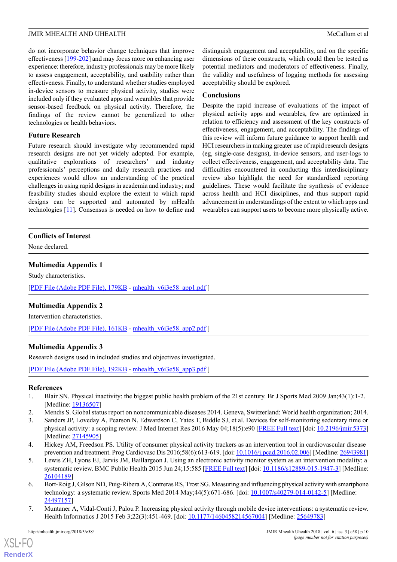do not incorporate behavior change techniques that improve effectiveness [[199-](#page-19-5)[202](#page-19-6)] and may focus more on enhancing user experience: therefore, industry professionals may be more likely to assess engagement, acceptability, and usability rather than effectiveness. Finally, to understand whether studies employed in-device sensors to measure physical activity, studies were included only if they evaluated apps and wearables that provide sensor-based feedback on physical activity. Therefore, the findings of the review cannot be generalized to other technologies or health behaviors.

### **Future Research**

Future research should investigate why recommended rapid research designs are not yet widely adopted. For example, qualitative explorations of researchers' and industry professionals' perceptions and daily research practices and experiences would allow an understanding of the practical challenges in using rapid designs in academia and industry; and feasibility studies should explore the extent to which rapid designs can be supported and automated by mHealth technologies [\[11](#page-10-3)]. Consensus is needed on how to define and

distinguish engagement and acceptability, and on the specific dimensions of these constructs, which could then be tested as potential mediators and moderators of effectiveness. Finally, the validity and usefulness of logging methods for assessing acceptability should be explored.

### **Conclusions**

Despite the rapid increase of evaluations of the impact of physical activity apps and wearables, few are optimized in relation to efficiency and assessment of the key constructs of effectiveness, engagement, and acceptability. The findings of this review will inform future guidance to support health and HCI researchers in making greater use of rapid research designs (eg, single-case designs), in-device sensors, and user-logs to collect effectiveness, engagement, and acceptability data. The difficulties encountered in conducting this interdisciplinary review also highlight the need for standardized reporting guidelines. These would facilitate the synthesis of evidence across health and HCI disciplines, and thus support rapid advancement in understandings of the extent to which apps and wearables can support users to become more physically active.

### <span id="page-9-4"></span>**Conflicts of Interest**

None declared.

### **Multimedia Appendix 1**

<span id="page-9-5"></span>Study characteristics.

[[PDF File \(Adobe PDF File\), 179KB](http://mhealth.jmir.org/article/downloadSuppFile/9054/69827) - [mhealth\\_v6i3e58\\_app1.pdf](http://mhealth.jmir.org/article/downloadSuppFile/9054/69827) ]

### **Multimedia Appendix 2**

<span id="page-9-6"></span>Intervention characteristics.

[[PDF File \(Adobe PDF File\), 161KB](http://mhealth.jmir.org/article/downloadSuppFile/9054/60519) - [mhealth\\_v6i3e58\\_app2.pdf](http://mhealth.jmir.org/article/downloadSuppFile/9054/60519) ]

### **Multimedia Appendix 3**

<span id="page-9-0"></span>Research designs used in included studies and objectives investigated.

<span id="page-9-2"></span><span id="page-9-1"></span>[[PDF File \(Adobe PDF File\), 192KB](http://mhealth.jmir.org/article/downloadSuppFile/9054/69828) - [mhealth\\_v6i3e58\\_app3.pdf](http://mhealth.jmir.org/article/downloadSuppFile/9054/69828) ]

#### **References**

- <span id="page-9-3"></span>1. Blair SN. Physical inactivity: the biggest public health problem of the 21st century. Br J Sports Med 2009 Jan;43(1):1-2. [Medline: [19136507](http://www.ncbi.nlm.nih.gov/entrez/query.fcgi?cmd=Retrieve&db=PubMed&list_uids=19136507&dopt=Abstract)]
- 2. Mendis S. Global status report on noncommunicable diseases 2014. Geneva, Switzerland: World health organization; 2014.
- 3. Sanders JP, Loveday A, Pearson N, Edwardson C, Yates T, Biddle SJ, et al. Devices for self-monitoring sedentary time or physical activity: a scoping review. J Med Internet Res 2016 May 04;18(5):e90 [\[FREE Full text](http://www.jmir.org/2016/5/e90/)] [doi: [10.2196/jmir.5373](http://dx.doi.org/10.2196/jmir.5373)] [Medline: [27145905](http://www.ncbi.nlm.nih.gov/entrez/query.fcgi?cmd=Retrieve&db=PubMed&list_uids=27145905&dopt=Abstract)]
- 4. Hickey AM, Freedson PS. Utility of consumer physical activity trackers as an intervention tool in cardiovascular disease prevention and treatment. Prog Cardiovasc Dis 2016;58(6):613-619. [doi: [10.1016/j.pcad.2016.02.006](http://dx.doi.org/10.1016/j.pcad.2016.02.006)] [Medline: [26943981\]](http://www.ncbi.nlm.nih.gov/entrez/query.fcgi?cmd=Retrieve&db=PubMed&list_uids=26943981&dopt=Abstract)
- 5. Lewis ZH, Lyons EJ, Jarvis JM, Baillargeon J. Using an electronic activity monitor system as an intervention modality: a systematic review. BMC Public Health 2015 Jun 24;15:585 [[FREE Full text](https://bmcpublichealth.biomedcentral.com/articles/10.1186/s12889-015-1947-3)] [doi: [10.1186/s12889-015-1947-3\]](http://dx.doi.org/10.1186/s12889-015-1947-3) [Medline: [26104189](http://www.ncbi.nlm.nih.gov/entrez/query.fcgi?cmd=Retrieve&db=PubMed&list_uids=26104189&dopt=Abstract)]
- 6. Bort-Roig J, Gilson ND, Puig-Ribera A, Contreras RS, Trost SG. Measuring and influencing physical activity with smartphone technology: a systematic review. Sports Med 2014 May;44(5):671-686. [doi: [10.1007/s40279-014-0142-5](http://dx.doi.org/10.1007/s40279-014-0142-5)] [Medline: [24497157](http://www.ncbi.nlm.nih.gov/entrez/query.fcgi?cmd=Retrieve&db=PubMed&list_uids=24497157&dopt=Abstract)]
- 7. Muntaner A, Vidal-Conti J, Palou P. Increasing physical activity through mobile device interventions: a systematic review. Health Informatics J 2015 Feb 3;22(3):451-469. [doi: [10.1177/1460458214567004](http://dx.doi.org/10.1177/1460458214567004)] [Medline: [25649783](http://www.ncbi.nlm.nih.gov/entrez/query.fcgi?cmd=Retrieve&db=PubMed&list_uids=25649783&dopt=Abstract)]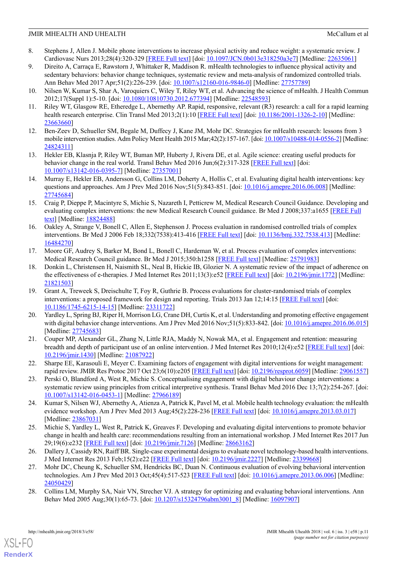- 8. Stephens J, Allen J. Mobile phone interventions to increase physical activity and reduce weight: a systematic review. J Cardiovasc Nurs 2013;28(4):320-329 [\[FREE Full text\]](http://europepmc.org/abstract/MED/22635061) [doi: [10.1097/JCN.0b013e318250a3e7\]](http://dx.doi.org/10.1097/JCN.0b013e318250a3e7) [Medline: [22635061\]](http://www.ncbi.nlm.nih.gov/entrez/query.fcgi?cmd=Retrieve&db=PubMed&list_uids=22635061&dopt=Abstract)
- <span id="page-10-0"></span>9. Direito A, Carraça E, Rawstorn J, Whittaker R, Maddison R. mHealth technologies to influence physical activity and sedentary behaviors: behavior change techniques, systematic review and meta-analysis of randomized controlled trials. Ann Behav Med 2017 Apr;51(2):226-239. [doi: [10.1007/s12160-016-9846-0](http://dx.doi.org/10.1007/s12160-016-9846-0)] [Medline: [27757789\]](http://www.ncbi.nlm.nih.gov/entrez/query.fcgi?cmd=Retrieve&db=PubMed&list_uids=27757789&dopt=Abstract)
- <span id="page-10-3"></span><span id="page-10-1"></span>10. Nilsen W, Kumar S, Shar A, Varoquiers C, Wiley T, Riley WT, et al. Advancing the science of mHealth. J Health Commun 2012;17(Suppl 1):5-10. [doi: [10.1080/10810730.2012.677394](http://dx.doi.org/10.1080/10810730.2012.677394)] [Medline: [22548593](http://www.ncbi.nlm.nih.gov/entrez/query.fcgi?cmd=Retrieve&db=PubMed&list_uids=22548593&dopt=Abstract)]
- <span id="page-10-2"></span>11. Riley WT, Glasgow RE, Etheredge L, Abernethy AP. Rapid, responsive, relevant (R3) research: a call for a rapid learning health research enterprise. Clin Transl Med 2013;2(1):10 [[FREE Full text](http://www.clintransmed.com/content/2/1/10)] [doi: [10.1186/2001-1326-2-10](http://dx.doi.org/10.1186/2001-1326-2-10)] [Medline: [23663660](http://www.ncbi.nlm.nih.gov/entrez/query.fcgi?cmd=Retrieve&db=PubMed&list_uids=23663660&dopt=Abstract)]
- <span id="page-10-4"></span>12. Ben-Zeev D, Schueller SM, Begale M, Duffecy J, Kane JM, Mohr DC. Strategies for mHealth research: lessons from 3 mobile intervention studies. Adm Policy Ment Health 2015 Mar;42(2):157-167. [doi: [10.1007/s10488-014-0556-2\]](http://dx.doi.org/10.1007/s10488-014-0556-2) [Medline: [24824311](http://www.ncbi.nlm.nih.gov/entrez/query.fcgi?cmd=Retrieve&db=PubMed&list_uids=24824311&dopt=Abstract)]
- <span id="page-10-5"></span>13. Hekler EB, Klasnja P, Riley WT, Buman MP, Huberty J, Rivera DE, et al. Agile science: creating useful products for behavior change in the real world. Transl Behav Med 2016 Jun;6(2):317-328 [[FREE Full text](http://europepmc.org/abstract/MED/27357001)] [doi: [10.1007/s13142-016-0395-7\]](http://dx.doi.org/10.1007/s13142-016-0395-7) [Medline: [27357001](http://www.ncbi.nlm.nih.gov/entrez/query.fcgi?cmd=Retrieve&db=PubMed&list_uids=27357001&dopt=Abstract)]
- <span id="page-10-6"></span>14. Murray E, Hekler EB, Andersson G, Collins LM, Doherty A, Hollis C, et al. Evaluating digital health interventions: key questions and approaches. Am J Prev Med 2016 Nov; 51(5):843-851. [doi: [10.1016/j.amepre.2016.06.008](http://dx.doi.org/10.1016/j.amepre.2016.06.008)] [Medline: [27745684](http://www.ncbi.nlm.nih.gov/entrez/query.fcgi?cmd=Retrieve&db=PubMed&list_uids=27745684&dopt=Abstract)]
- <span id="page-10-7"></span>15. Craig P, Dieppe P, Macintyre S, Michie S, Nazareth I, Petticrew M, Medical Research Council Guidance. Developing and evaluating complex interventions: the new Medical Research Council guidance. Br Med J 2008;337:a1655 [[FREE Full](http://europepmc.org/abstract/MED/18824488) [text\]](http://europepmc.org/abstract/MED/18824488) [Medline: [18824488](http://www.ncbi.nlm.nih.gov/entrez/query.fcgi?cmd=Retrieve&db=PubMed&list_uids=18824488&dopt=Abstract)]
- <span id="page-10-8"></span>16. Oakley A, Strange V, Bonell C, Allen E, Stephenson J. Process evaluation in randomised controlled trials of complex interventions. Br Med J 2006 Feb 18;332(7538):413-416 [[FREE Full text](http://europepmc.org/abstract/MED/16484270)] [doi: [10.1136/bmj.332.7538.413](http://dx.doi.org/10.1136/bmj.332.7538.413)] [Medline: [16484270](http://www.ncbi.nlm.nih.gov/entrez/query.fcgi?cmd=Retrieve&db=PubMed&list_uids=16484270&dopt=Abstract)]
- 17. Moore GF, Audrey S, Barker M, Bond L, Bonell C, Hardeman W, et al. Process evaluation of complex interventions: Medical Research Council guidance. Br Med J 2015;350:h1258 [\[FREE Full text\]](http://europepmc.org/abstract/MED/25791983) [Medline: [25791983](http://www.ncbi.nlm.nih.gov/entrez/query.fcgi?cmd=Retrieve&db=PubMed&list_uids=25791983&dopt=Abstract)]
- <span id="page-10-9"></span>18. Donkin L, Christensen H, Naismith SL, Neal B, Hickie IB, Glozier N. A systematic review of the impact of adherence on the effectiveness of e-therapies. J Med Internet Res 2011;13(3):e52 [[FREE Full text](http://www.jmir.org/2011/3/e52/)] [doi: [10.2196/jmir.1772](http://dx.doi.org/10.2196/jmir.1772)] [Medline: [21821503](http://www.ncbi.nlm.nih.gov/entrez/query.fcgi?cmd=Retrieve&db=PubMed&list_uids=21821503&dopt=Abstract)]
- <span id="page-10-10"></span>19. Grant A, Treweek S, Dreischulte T, Foy R, Guthrie B. Process evaluations for cluster-randomised trials of complex interventions: a proposed framework for design and reporting. Trials 2013 Jan 12;14:15 [[FREE Full text](https://trialsjournal.biomedcentral.com/articles/10.1186/1745-6215-14-15)] [doi: [10.1186/1745-6215-14-15](http://dx.doi.org/10.1186/1745-6215-14-15)] [Medline: [23311722\]](http://www.ncbi.nlm.nih.gov/entrez/query.fcgi?cmd=Retrieve&db=PubMed&list_uids=23311722&dopt=Abstract)
- <span id="page-10-11"></span>20. Yardley L, Spring BJ, Riper H, Morrison LG, Crane DH, Curtis K, et al. Understanding and promoting effective engagement with digital behavior change interventions. Am J Prev Med 2016 Nov; 51(5):833-842. [doi: [10.1016/j.amepre.2016.06.015](http://dx.doi.org/10.1016/j.amepre.2016.06.015)] [Medline: [27745683](http://www.ncbi.nlm.nih.gov/entrez/query.fcgi?cmd=Retrieve&db=PubMed&list_uids=27745683&dopt=Abstract)]
- <span id="page-10-13"></span><span id="page-10-12"></span>21. Couper MP, Alexander GL, Zhang N, Little RJA, Maddy N, Nowak MA, et al. Engagement and retention: measuring breadth and depth of participant use of an online intervention. J Med Internet Res 2010;12(4):e52 [[FREE Full text](http://www.jmir.org/2010/4/e52/)] [doi: [10.2196/jmir.1430](http://dx.doi.org/10.2196/jmir.1430)] [Medline: [21087922](http://www.ncbi.nlm.nih.gov/entrez/query.fcgi?cmd=Retrieve&db=PubMed&list_uids=21087922&dopt=Abstract)]
- <span id="page-10-14"></span>22. Sharpe EE, Karasouli E, Meyer C. Examining factors of engagement with digital interventions for weight management: rapid review. JMIR Res Protoc 2017 Oct 23;6(10):e205 [[FREE Full text\]](http://www.researchprotocols.org/2017/10/e205/) [doi: [10.2196/resprot.6059](http://dx.doi.org/10.2196/resprot.6059)] [Medline: [29061557](http://www.ncbi.nlm.nih.gov/entrez/query.fcgi?cmd=Retrieve&db=PubMed&list_uids=29061557&dopt=Abstract)]
- <span id="page-10-15"></span>23. Perski O, Blandford A, West R, Michie S. Conceptualising engagement with digital behaviour change interventions: a systematic review using principles from critical interpretive synthesis. Transl Behav Med 2016 Dec 13;7(2):254-267. [doi: [10.1007/s13142-016-0453-1\]](http://dx.doi.org/10.1007/s13142-016-0453-1) [Medline: [27966189](http://www.ncbi.nlm.nih.gov/entrez/query.fcgi?cmd=Retrieve&db=PubMed&list_uids=27966189&dopt=Abstract)]
- <span id="page-10-16"></span>24. Kumar S, Nilsen WJ, Abernethy A, Atienza A, Patrick K, Pavel M, et al. Mobile health technology evaluation: the mHealth evidence workshop. Am J Prev Med 2013 Aug;45(2):228-236 [\[FREE Full text](http://europepmc.org/abstract/MED/23867031)] [doi: [10.1016/j.amepre.2013.03.017\]](http://dx.doi.org/10.1016/j.amepre.2013.03.017) [Medline: [23867031](http://www.ncbi.nlm.nih.gov/entrez/query.fcgi?cmd=Retrieve&db=PubMed&list_uids=23867031&dopt=Abstract)]
- <span id="page-10-17"></span>25. Michie S, Yardley L, West R, Patrick K, Greaves F. Developing and evaluating digital interventions to promote behavior change in health and health care: recommendations resulting from an international workshop. J Med Internet Res 2017 Jun 29;19(6):e232 [[FREE Full text\]](http://www.jmir.org/2017/6/e232/) [doi: [10.2196/jmir.7126](http://dx.doi.org/10.2196/jmir.7126)] [Medline: [28663162](http://www.ncbi.nlm.nih.gov/entrez/query.fcgi?cmd=Retrieve&db=PubMed&list_uids=28663162&dopt=Abstract)]
- <span id="page-10-18"></span>26. Dallery J, Cassidy RN, Raiff BR. Single-case experimental designs to evaluate novel technology-based health interventions. J Med Internet Res 2013 Feb;15(2):e22 [[FREE Full text](http://www.jmir.org/2013/2/e22/)] [doi: [10.2196/jmir.2227](http://dx.doi.org/10.2196/jmir.2227)] [Medline: [23399668\]](http://www.ncbi.nlm.nih.gov/entrez/query.fcgi?cmd=Retrieve&db=PubMed&list_uids=23399668&dopt=Abstract)
- 27. Mohr DC, Cheung K, Schueller SM, Hendricks BC, Duan N. Continuous evaluation of evolving behavioral intervention technologies. Am J Prev Med 2013 Oct;45(4):517-523 [[FREE Full text](http://europepmc.org/abstract/MED/24050429)] [doi: [10.1016/j.amepre.2013.06.006\]](http://dx.doi.org/10.1016/j.amepre.2013.06.006) [Medline: [24050429](http://www.ncbi.nlm.nih.gov/entrez/query.fcgi?cmd=Retrieve&db=PubMed&list_uids=24050429&dopt=Abstract)1
- 28. Collins LM, Murphy SA, Nair VN, Strecher VJ. A strategy for optimizing and evaluating behavioral interventions. Ann Behav Med 2005 Aug;30(1):65-73. [doi: [10.1207/s15324796abm3001\\_8](http://dx.doi.org/10.1207/s15324796abm3001_8)] [Medline: [16097907](http://www.ncbi.nlm.nih.gov/entrez/query.fcgi?cmd=Retrieve&db=PubMed&list_uids=16097907&dopt=Abstract)]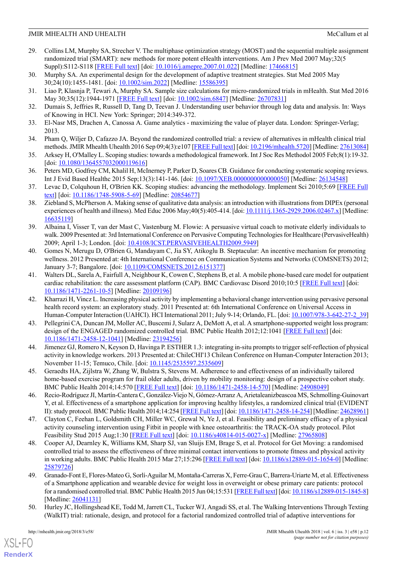- <span id="page-11-0"></span>29. Collins LM, Murphy SA, Strecher V. The multiphase optimization strategy (MOST) and the sequential multiple assignment randomized trial (SMART): new methods for more potent eHealth interventions. Am J Prev Med 2007 May;32(5 Suppl):S112-S118 [[FREE Full text\]](http://europepmc.org/abstract/MED/17466815) [doi: [10.1016/j.amepre.2007.01.022\]](http://dx.doi.org/10.1016/j.amepre.2007.01.022) [Medline: [17466815](http://www.ncbi.nlm.nih.gov/entrez/query.fcgi?cmd=Retrieve&db=PubMed&list_uids=17466815&dopt=Abstract)]
- <span id="page-11-2"></span><span id="page-11-1"></span>30. Murphy SA. An experimental design for the development of adaptive treatment strategies. Stat Med 2005 May 30;24(10):1455-1481. [doi: [10.1002/sim.2022\]](http://dx.doi.org/10.1002/sim.2022) [Medline: [15586395](http://www.ncbi.nlm.nih.gov/entrez/query.fcgi?cmd=Retrieve&db=PubMed&list_uids=15586395&dopt=Abstract)]
- <span id="page-11-3"></span>31. Liao P, Klasnja P, Tewari A, Murphy SA. Sample size calculations for micro-randomized trials in mHealth. Stat Med 2016 May 30;35(12):1944-1971 [[FREE Full text](http://europepmc.org/abstract/MED/26707831)] [doi: [10.1002/sim.6847\]](http://dx.doi.org/10.1002/sim.6847) [Medline: [26707831](http://www.ncbi.nlm.nih.gov/entrez/query.fcgi?cmd=Retrieve&db=PubMed&list_uids=26707831&dopt=Abstract)]
- <span id="page-11-4"></span>32. Dumais S, Jeffries R, Russell D, Tang D, Teevan J. Understanding user behavior through log data and analysis. In: Ways of Knowing in HCI. New York: Springer; 2014:349-372.
- <span id="page-11-5"></span>33. El-Nasr MS, Drachen A, Canossa A. Game analytics - maximizing the value of player data. London: Springer-Verlag; 2013.
- <span id="page-11-6"></span>34. Pham Q, Wiljer D, Cafazzo JA. Beyond the randomized controlled trial: a review of alternatives in mHealth clinical trial methods. JMIR Mhealth Uhealth 2016 Sep 09;4(3):e107 [\[FREE Full text\]](http://mhealth.jmir.org/2016/3/e107/) [doi: [10.2196/mhealth.5720](http://dx.doi.org/10.2196/mhealth.5720)] [Medline: [27613084\]](http://www.ncbi.nlm.nih.gov/entrez/query.fcgi?cmd=Retrieve&db=PubMed&list_uids=27613084&dopt=Abstract)
- <span id="page-11-7"></span>35. Arksey H, O'Malley L. Scoping studies: towards a methodological framework. Int J Soc Res Methodol 2005 Feb;8(1):19-32. [doi: [10.1080/1364557032000119616\]](http://dx.doi.org/10.1080/1364557032000119616)
- <span id="page-11-8"></span>36. Peters MD, Godfrey CM, Khalil H, McInerney P, Parker D, Soares CB. Guidance for conducting systematic scoping reviews. Int J Evid Based Healthc 2015 Sep;13(3):141-146. [doi: [10.1097/XEB.0000000000000050](http://dx.doi.org/10.1097/XEB.0000000000000050)] [Medline: [26134548](http://www.ncbi.nlm.nih.gov/entrez/query.fcgi?cmd=Retrieve&db=PubMed&list_uids=26134548&dopt=Abstract)]
- <span id="page-11-9"></span>37. Levac D, Colquhoun H, O'Brien KK. Scoping studies: advancing the methodology. Implement Sci 2010;5:69 [[FREE Full](http://implementationscience.biomedcentral.com/articles/10.1186/1748-5908-5-69) [text\]](http://implementationscience.biomedcentral.com/articles/10.1186/1748-5908-5-69) [doi: [10.1186/1748-5908-5-69\]](http://dx.doi.org/10.1186/1748-5908-5-69) [Medline: [20854677](http://www.ncbi.nlm.nih.gov/entrez/query.fcgi?cmd=Retrieve&db=PubMed&list_uids=20854677&dopt=Abstract)]
- <span id="page-11-10"></span>38. Ziebland S, McPherson A. Making sense of qualitative data analysis: an introduction with illustrations from DIPEx (personal experiences of health and illness). Med Educ 2006 May;40(5):405-414. [doi: [10.1111/j.1365-2929.2006.02467.x](http://dx.doi.org/10.1111/j.1365-2929.2006.02467.x)] [Medline: [16635119](http://www.ncbi.nlm.nih.gov/entrez/query.fcgi?cmd=Retrieve&db=PubMed&list_uids=16635119&dopt=Abstract)]
- <span id="page-11-11"></span>39. Albaina I, Visser T, van der Mast C, Vastenburg M. Flowie: A persuasive virtual coach to motivate elderly individuals to walk. 2009 Presented at: 3rd International Conference on Pervasive Computing Technologies for Healthcare (PervasiveHealth) 2009; April 1-3; London. [doi: [10.4108/ICST.PERVASIVEHEALTH2009.5949\]](http://dx.doi.org/10.4108/ICST.PERVASIVEHEALTH2009.5949)
- <span id="page-11-13"></span>40. Gomes N, Merugu D, O'Brien G, Mandayam C, Jia SY, Atikoglu B. Steptacular: An incentive mechanism for promoting wellness. 2012 Presented at: 4th International Conference on Communication Systems and Networks (COMSNETS) 2012; January 3-7; Bangalore. [doi: [10.1109/COMSNETS.2012.6151377](http://dx.doi.org/10.1109/COMSNETS.2012.6151377)]
- 41. Walters DL, Sarela A, Fairfull A, Neighbour K, Cowen C, Stephens B, et al. A mobile phone-based care model for outpatient cardiac rehabilitation: the care assessment platform (CAP). BMC Cardiovasc Disord 2010;10:5 [\[FREE Full text\]](http://www.biomedcentral.com/1471-2261/10/5) [doi: [10.1186/1471-2261-10-5](http://dx.doi.org/10.1186/1471-2261-10-5)] [Medline: [20109196](http://www.ncbi.nlm.nih.gov/entrez/query.fcgi?cmd=Retrieve&db=PubMed&list_uids=20109196&dopt=Abstract)]
- 42. Kharrazi H, Vincz L. Increasing physical activity by implementing a behavioral change intervention using pervasive personal health record system: an exploratory study. 2011 Presented at: 6th International Conference on Universal Access in Human-Computer Interaction (UAHCI). HCI International 2011; July 9-14; Orlando, FL. [doi: [10.1007/978-3-642-27-2\\_39\]](http://dx.doi.org/10.1007/978-3-642-27-2_39)
- 43. Pellegrini CA, Duncan JM, Moller AC, Buscemi J, Sularz A, DeMott A, et al. A smartphone-supported weight loss program: design of the ENGAGED randomized controlled trial. BMC Public Health 2012;12:1041 [\[FREE Full text\]](http://bmcpublichealth.biomedcentral.com/articles/10.1186/1471-2458-12-1041) [doi: [10.1186/1471-2458-12-1041](http://dx.doi.org/10.1186/1471-2458-12-1041)] [Medline: [23194256](http://www.ncbi.nlm.nih.gov/entrez/query.fcgi?cmd=Retrieve&db=PubMed&list_uids=23194256&dopt=Abstract)]
- 44. Jimenez GJ, Romero N, Keyson D, Havinga P. ESTHER 1.3: integrating in-situ prompts to trigger self-reflection of physical activity in knowledge workers. 2013 Presented at: ChileCHI'13 Chilean Conference on Human-Computer Interaction 2013; November 11-15; Temuco, Chile. [doi: [10.1145/2535597.2535609\]](http://dx.doi.org/10.1145/2535597.2535609)
- 45. Geraedts HA, Zijlstra W, Zhang W, Bulstra S, Stevens M. Adherence to and effectiveness of an individually tailored home-based exercise program for frail older adults, driven by mobility monitoring: design of a prospective cohort study. BMC Public Health 2014;14:570 [[FREE Full text](http://bmcpublichealth.biomedcentral.com/articles/10.1186/1471-2458-14-570)] [doi: [10.1186/1471-2458-14-570](http://dx.doi.org/10.1186/1471-2458-14-570)] [Medline: [24908049](http://www.ncbi.nlm.nih.gov/entrez/query.fcgi?cmd=Retrieve&db=PubMed&list_uids=24908049&dopt=Abstract)]
- 46. Recio-Rodríguez JI, Martín-Cantera C, González-Viejo N, Gómez-Arranz A, Arietaleanizbeascoa MS, Schmolling-Guinovart Y, et al. Effectiveness of a smartphone application for improving healthy lifestyles, a randomized clinical trial (EVIDENT II): study protocol. BMC Public Health 2014;14:254 [[FREE Full text\]](http://bmcpublichealth.biomedcentral.com/articles/10.1186/1471-2458-14-254) [doi: [10.1186/1471-2458-14-254\]](http://dx.doi.org/10.1186/1471-2458-14-254) [Medline: [24628961\]](http://www.ncbi.nlm.nih.gov/entrez/query.fcgi?cmd=Retrieve&db=PubMed&list_uids=24628961&dopt=Abstract)
- <span id="page-11-14"></span>47. Clayton C, Feehan L, Goldsmith CH, Miller WC, Grewal N, Ye J, et al. Feasibility and preliminary efficacy of a physical activity counseling intervention using Fitbit in people with knee osteoarthritis: the TRACK-OA study protocol. Pilot Feasibility Stud 2015 Aug;1:30 [\[FREE Full text\]](https://pilotfeasibilitystudies.biomedcentral.com/articles/10.1186/s40814-015-0027-x) [doi: [10.1186/s40814-015-0027-x\]](http://dx.doi.org/10.1186/s40814-015-0027-x) [Medline: [27965808](http://www.ncbi.nlm.nih.gov/entrez/query.fcgi?cmd=Retrieve&db=PubMed&list_uids=27965808&dopt=Abstract)]
- <span id="page-11-12"></span>48. Cooper AJ, Dearnley K, Williams KM, Sharp SJ, van Sluijs EM, Brage S, et al. Protocol for Get Moving: a randomised controlled trial to assess the effectiveness of three minimal contact interventions to promote fitness and physical activity in working adults. BMC Public Health 2015 Mar 27;15:296 [[FREE Full text\]](https://bmcpublichealth.biomedcentral.com/articles/10.1186/s12889-015-1654-0) [doi: [10.1186/s12889-015-1654-0\]](http://dx.doi.org/10.1186/s12889-015-1654-0) [Medline: [25879726](http://www.ncbi.nlm.nih.gov/entrez/query.fcgi?cmd=Retrieve&db=PubMed&list_uids=25879726&dopt=Abstract)]
- 49. Granado-Font E, Flores-Mateo G, Sorlí-Aguilar M, Montaña-Carreras X, Ferre-Grau C, Barrera-Uriarte M, et al. Effectiveness of a Smartphone application and wearable device for weight loss in overweight or obese primary care patients: protocol for a randomised controlled trial. BMC Public Health 2015 Jun 04;15:531 [[FREE Full text\]](http://europepmc.org/abstract/MED/26041131) [doi: [10.1186/s12889-015-1845-8](http://dx.doi.org/10.1186/s12889-015-1845-8)] [Medline: [26041131](http://www.ncbi.nlm.nih.gov/entrez/query.fcgi?cmd=Retrieve&db=PubMed&list_uids=26041131&dopt=Abstract)]
- 50. Hurley JC, Hollingshead KE, Todd M, Jarrett CL, Tucker WJ, Angadi SS, et al. The Walking Interventions Through Texting (WalkIT) trial: rationale, design, and protocol for a factorial randomized controlled trial of adaptive interventions for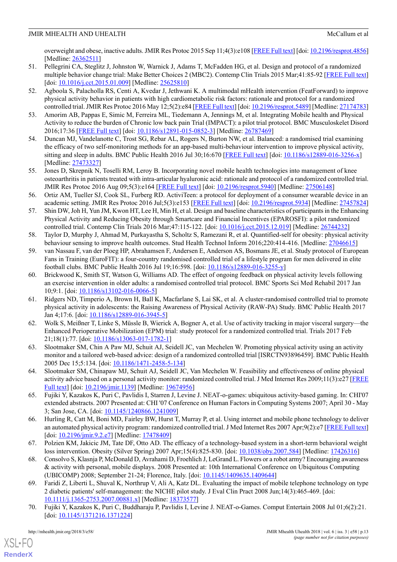overweight and obese, inactive adults. JMIR Res Protoc 2015 Sep 11;4(3):e108 [\[FREE Full text](http://www.researchprotocols.org/2015/3/e108/)] [doi: [10.2196/resprot.4856\]](http://dx.doi.org/10.2196/resprot.4856) [Medline: [26362511](http://www.ncbi.nlm.nih.gov/entrez/query.fcgi?cmd=Retrieve&db=PubMed&list_uids=26362511&dopt=Abstract)]

- 51. Pellegrini CA, Steglitz J, Johnston W, Warnick J, Adams T, McFadden HG, et al. Design and protocol of a randomized multiple behavior change trial: Make Better Choices 2 (MBC2). Contemp Clin Trials 2015 Mar;41:85-92 [[FREE Full text](http://europepmc.org/abstract/MED/25625810)] [doi: <u>[10.1016/j.cct.2015.01.009\]](http://dx.doi.org/10.1016/j.cct.2015.01.009)</u> [Medline: [25625810](http://www.ncbi.nlm.nih.gov/entrez/query.fcgi?cmd=Retrieve&db=PubMed&list_uids=25625810&dopt=Abstract)]
- <span id="page-12-3"></span>52. Agboola S, Palacholla RS, Centi A, Kvedar J, Jethwani K. A multimodal mHealth intervention (FeatForward) to improve physical activity behavior in patients with high cardiometabolic risk factors: rationale and protocol for a randomized controlled trial. JMIR Res Protoc 2016 May 12;5(2):e84 [\[FREE Full text\]](http://www.researchprotocols.org/2016/2/e84/) [doi: [10.2196/resprot.5489](http://dx.doi.org/10.2196/resprot.5489)] [Medline: [27174783](http://www.ncbi.nlm.nih.gov/entrez/query.fcgi?cmd=Retrieve&db=PubMed&list_uids=27174783&dopt=Abstract)]
- <span id="page-12-6"></span><span id="page-12-1"></span>53. Amorim AB, Pappas E, Simic M, Ferreira ML, Tiedemann A, Jennings M, et al. Integrating Mobile health and Physical Activity to reduce the burden of Chronic low back pain Trial (IMPACT): a pilot trial protocol. BMC Musculoskelet Disord 2016;17:36 [[FREE Full text](http://bmcmusculoskeletdisord.biomedcentral.com/articles/10.1186/s12891-015-0852-3)] [doi: [10.1186/s12891-015-0852-3](http://dx.doi.org/10.1186/s12891-015-0852-3)] [Medline: [26787469](http://www.ncbi.nlm.nih.gov/entrez/query.fcgi?cmd=Retrieve&db=PubMed&list_uids=26787469&dopt=Abstract)]
- <span id="page-12-8"></span>54. Duncan MJ, Vandelanotte C, Trost SG, Rebar AL, Rogers N, Burton NW, et al. Balanced: a randomised trial examining the efficacy of two self-monitoring methods for an app-based multi-behaviour intervention to improve physical activity, sitting and sleep in adults. BMC Public Health 2016 Jul 30;16:670 [[FREE Full text](https://bmcpublichealth.biomedcentral.com/articles/10.1186/s12889-016-3256-x)] [doi: [10.1186/s12889-016-3256-x](http://dx.doi.org/10.1186/s12889-016-3256-x)] [Medline: [27473327](http://www.ncbi.nlm.nih.gov/entrez/query.fcgi?cmd=Retrieve&db=PubMed&list_uids=27473327&dopt=Abstract)]
- 55. Jones D, Skrepnik N, Toselli RM, Leroy B. Incorporating novel mobile health technologies into management of knee osteoarthritis in patients treated with intra-articular hyaluronic acid: rationale and protocol of a randomized controlled trial. JMIR Res Protoc 2016 Aug 09;5(3):e164 [[FREE Full text](http://www.researchprotocols.org/2016/3/e164/)] [doi: [10.2196/resprot.5940\]](http://dx.doi.org/10.2196/resprot.5940) [Medline: [27506148](http://www.ncbi.nlm.nih.gov/entrez/query.fcgi?cmd=Retrieve&db=PubMed&list_uids=27506148&dopt=Abstract)]
- <span id="page-12-0"></span>56. Ortiz AM, Tueller SJ, Cook SL, Furberg RD. ActiviTeen: a protocol for deployment of a consumer wearable device in an academic setting. JMIR Res Protoc 2016 Jul;5(3):e153 [[FREE Full text\]](http://www.researchprotocols.org/2016/3/e153/) [doi: [10.2196/resprot.5934](http://dx.doi.org/10.2196/resprot.5934)] [Medline: [27457824](http://www.ncbi.nlm.nih.gov/entrez/query.fcgi?cmd=Retrieve&db=PubMed&list_uids=27457824&dopt=Abstract)]
- 57. Shin DW, Joh H, Yun JM, Kwon HT, Lee H, Min H, et al. Design and baseline characteristics of participants in the Enhancing Physical Activity and Reducing Obesity through Smartcare and Financial Incentives (EPAROSFI): a pilot randomized controlled trial. Contemp Clin Trials 2016 Mar;47:115-122. [doi: [10.1016/j.cct.2015.12.019\]](http://dx.doi.org/10.1016/j.cct.2015.12.019) [Medline: [26744232](http://www.ncbi.nlm.nih.gov/entrez/query.fcgi?cmd=Retrieve&db=PubMed&list_uids=26744232&dopt=Abstract)]
- <span id="page-12-7"></span>58. Taylor D, Murphy J, Ahmad M, Purkayastha S, Scholtz S, Ramezani R, et al. Quantified-self for obesity: physical activity behaviour sensing to improve health outcomes. Stud Health Technol Inform 2016;220:414-416. [Medline: [27046615](http://www.ncbi.nlm.nih.gov/entrez/query.fcgi?cmd=Retrieve&db=PubMed&list_uids=27046615&dopt=Abstract)]
- 59. van Nassau F, van der Ploeg HP, Abrahamsen F, Andersen E, Anderson AS, Bosmans JE, et al. Study protocol of European Fans in Training (EuroFIT): a four-country randomised controlled trial of a lifestyle program for men delivered in elite football clubs. BMC Public Health 2016 Jul 19;16:598. [doi: [10.1186/s12889-016-3255-y](http://dx.doi.org/10.1186/s12889-016-3255-y)]
- <span id="page-12-2"></span>60. Brickwood K, Smith ST, Watson G, Williams AD. The effect of ongoing feedback on physical activity levels following an exercise intervention in older adults: a randomised controlled trial protocol. BMC Sports Sci Med Rehabil 2017 Jan 10;9:1. [doi: [10.1186/s13102-016-0066-5](http://dx.doi.org/10.1186/s13102-016-0066-5)]
- 61. Ridgers ND, Timperio A, Brown H, Ball K, Macfarlane S, Lai SK, et al. A cluster-randomised controlled trial to promote physical activity in adolescents: the Raising Awareness of Physical Activity (RAW-PA) Study. BMC Public Health 2017 Jan 4;17:6. [doi: [10.1186/s12889-016-3945-5](http://dx.doi.org/10.1186/s12889-016-3945-5)]
- 62. Wolk S, Meißner T, Linke S, Müssle B, Wierick A, Bogner A, et al. Use of activity tracking in major visceral surgery—the Enhanced Perioperative Mobilization (EPM) trial: study protocol for a randomized controlled trial. Trials 2017 Feb 21;18(1):77. [doi: [10.1186/s13063-017-1782-1\]](http://dx.doi.org/10.1186/s13063-017-1782-1)
- <span id="page-12-9"></span>63. Slootmaker SM, Chin A Paw MJ, Schuit AJ, Seidell JC, van Mechelen W. Promoting physical activity using an activity monitor and a tailored web-based advice: design of a randomized controlled trial [ISRCTN93896459]. BMC Public Health 2005 Dec 15;5:134. [doi: [10.1186/1471-2458-5-134](http://dx.doi.org/10.1186/1471-2458-5-134)]
- 64. Slootmaker SM, Chinapaw MJ, Schuit AJ, Seidell JC, Van Mechelen W. Feasibility and effectiveness of online physical activity advice based on a personal activity monitor: randomized controlled trial. J Med Internet Res 2009;11(3):e27 [\[FREE](http://www.jmir.org/2009/3/e27/) [Full text](http://www.jmir.org/2009/3/e27/)] [doi: [10.2196/jmir.1139\]](http://dx.doi.org/10.2196/jmir.1139) [Medline: [19674956](http://www.ncbi.nlm.nih.gov/entrez/query.fcgi?cmd=Retrieve&db=PubMed&list_uids=19674956&dopt=Abstract)]
- 65. Fujiki Y, Kazakos K, Puri C, Pavlidis I, Starren J, Levine J. NEAT-o-games: ubiquitous activity-based gaming. In: CHI'07 extended abstracts. 2007 Presented at: CHI '07 Conference on Human Factors in Computing Systems 2007; April 30 - May 3; San Jose, CA. [doi: [10.1145/1240866.1241009](http://dx.doi.org/10.1145/1240866.1241009)]
- <span id="page-12-5"></span>66. Hurling R, Catt M, Boni MD, Fairley BW, Hurst T, Murray P, et al. Using internet and mobile phone technology to deliver an automated physical activity program: randomized controlled trial. J Med Internet Res 2007 Apr;9(2):e7 [[FREE Full text](http://www.jmir.org/2007/2/e7/)] [doi: [10.2196/jmir.9.2.e7](http://dx.doi.org/10.2196/jmir.9.2.e7)] [Medline: [17478409\]](http://www.ncbi.nlm.nih.gov/entrez/query.fcgi?cmd=Retrieve&db=PubMed&list_uids=17478409&dopt=Abstract)
- 67. Polzien KM, Jakicic JM, Tate DF, Otto AD. The efficacy of a technology-based system in a short-term behavioral weight loss intervention. Obesity (Silver Spring) 2007 Apr;15(4):825-830. [doi: [10.1038/oby.2007.584](http://dx.doi.org/10.1038/oby.2007.584)] [Medline: [17426316\]](http://www.ncbi.nlm.nih.gov/entrez/query.fcgi?cmd=Retrieve&db=PubMed&list_uids=17426316&dopt=Abstract)
- <span id="page-12-4"></span>68. Consolvo S, Klasnja P, McDonald D, Avrahami D, Froehlich J, LeGrand L. Flowers or a robot army? Encouraging awareness & activity with personal, mobile displays. 2008 Presented at: 10th International Conference on Ubiquitous Computing (UBICOMP) 2008; September 21-24; Florence, Italy. [doi: [10.1145/1409635.1409644\]](http://dx.doi.org/10.1145/1409635.1409644)
- 69. Faridi Z, Liberti L, Shuval K, Northrup V, Ali A, Katz DL. Evaluating the impact of mobile telephone technology on type 2 diabetic patients' self-management: the NICHE pilot study. J Eval Clin Pract 2008 Jun;14(3):465-469. [doi: [10.1111/j.1365-2753.2007.00881.x\]](http://dx.doi.org/10.1111/j.1365-2753.2007.00881.x) [Medline: [18373577](http://www.ncbi.nlm.nih.gov/entrez/query.fcgi?cmd=Retrieve&db=PubMed&list_uids=18373577&dopt=Abstract)]
- 70. Fujiki Y, Kazakos K, Puri C, Buddharaju P, Pavlidis I, Levine J. NEAT-o-Games. Comput Entertain 2008 Jul 01;6(2):21. [doi: [10.1145/1371216.1371224](http://dx.doi.org/10.1145/1371216.1371224)]

 $XS$  • FO **[RenderX](http://www.renderx.com/)**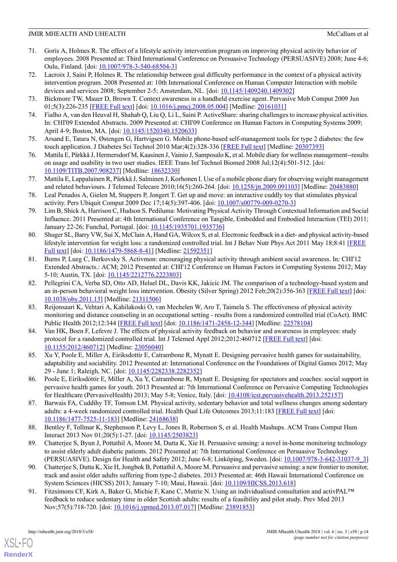- 71. Goris A, Holmes R. The effect of a lifestyle activity intervention program on improving physical activity behavior of employees. 2008 Presented at: Third International Conference on Persuasive Technology (PERSUASIVE) 2008; June 4-6; Oulu, Finland. [doi: [10.1007/978-3-540-68504-3](http://dx.doi.org/10.1007/978-3-540-68504-3)]
- 72. Lacroix J, Saini P, Holmes R. The relationship between goal difficulty performance in the context of a physical activity intervention program. 2008 Presented at: 10th International Conference on Human Computer Interaction with mobile devices and services 2008; September 2-5; Amsterdam, NL. [doi: [10.1145/1409240.1409302](http://dx.doi.org/10.1145/1409240.1409302)]
- <span id="page-13-5"></span><span id="page-13-1"></span>73. Bickmore TW, Mauer D, Brown T. Context awareness in a handheld exercise agent. Pervasive Mob Comput 2009 Jun 01;5(3):226-235 [[FREE Full text](http://europepmc.org/abstract/MED/20161031)] [doi: [10.1016/j.pmcj.2008.05.004\]](http://dx.doi.org/10.1016/j.pmcj.2008.05.004) [Medline: [20161031](http://www.ncbi.nlm.nih.gov/entrez/query.fcgi?cmd=Retrieve&db=PubMed&list_uids=20161031&dopt=Abstract)]
- <span id="page-13-7"></span>74. Fialho A, van den Heuval H, Shahab Q, Liu Q, Li L, Saini P. ActiveShare: sharing challenges to increase physical activities. In: CHI'09 Extended Abstracts. 2009 Presented at: CHI'09 Conference on Human Factors in Computing Systems 2009; April 4-9; Boston, MA. [doi: [10.1145/1520340.1520633\]](http://dx.doi.org/10.1145/1520340.1520633)
- 75. Arsand E, Tatara N, Østengen G, Hartvigsen G. Mobile phone-based self-management tools for type 2 diabetes: the few touch application. J Diabetes Sci Technol 2010 Mar; 4(2): 328-336 [[FREE Full text](http://europepmc.org/abstract/MED/20307393)] [Medline: [20307393\]](http://www.ncbi.nlm.nih.gov/entrez/query.fcgi?cmd=Retrieve&db=PubMed&list_uids=20307393&dopt=Abstract)
- 76. Mattila E, Pärkkä J, Hermersdorf M, Kaasinen J, Vainio J, Samposalo K, et al. Mobile diary for wellness management--results on usage and usability in two user studies. IEEE Trans Inf Technol Biomed 2008 Jul;12(4):501-512. [doi: [10.1109/TITB.2007.908237\]](http://dx.doi.org/10.1109/TITB.2007.908237) [Medline: [18632330](http://www.ncbi.nlm.nih.gov/entrez/query.fcgi?cmd=Retrieve&db=PubMed&list_uids=18632330&dopt=Abstract)]
- 77. Mattila E, Lappalainen R, Pärkkä J, Salminen J, Korhonen I. Use of a mobile phone diary for observing weight management and related behaviours. J Telemed Telecare 2010;16(5):260-264. [doi: [10.1258/jtt.2009.091103](http://dx.doi.org/10.1258/jtt.2009.091103)] [Medline: [20483880](http://www.ncbi.nlm.nih.gov/entrez/query.fcgi?cmd=Retrieve&db=PubMed&list_uids=20483880&dopt=Abstract)]
- <span id="page-13-6"></span>78. Leal Penados A, Gielen M, Stappers P, Jongert T. Get up and move: an interactive cuddly toy that stimulates physical activity. Pers Ubiquit Comput 2009 Dec 17;14(5):397-406. [doi: [10.1007/s00779-009-0270-3](http://dx.doi.org/10.1007/s00779-009-0270-3)]
- 79. Lim B, Shick A, Harrison C, Hudson S. Pediluma: Motivating Physical Activity Through Contextual Information and Social Influence. 2011 Presented at: 4th International Conference on Tangible, Embedded and Embodied Interaction (TEI) 2011; January 22-26; Funchal, Portugal. [doi: [10.1145/1935701.1935736\]](http://dx.doi.org/10.1145/1935701.1935736)
- <span id="page-13-9"></span>80. Shuger SL, Barry VW, Sui X, McClain A, Hand GA, Wilcox S, et al. Electronic feedback in a diet- and physical activity-based lifestyle intervention for weight loss: a randomized controlled trial. Int J Behav Nutr Phys Act 2011 May 18;8:41 [\[FREE](https://ijbnpa.biomedcentral.com/articles/10.1186/1479-5868-8-41) [Full text](https://ijbnpa.biomedcentral.com/articles/10.1186/1479-5868-8-41)] [doi: [10.1186/1479-5868-8-41](http://dx.doi.org/10.1186/1479-5868-8-41)] [Medline: [21592351\]](http://www.ncbi.nlm.nih.gov/entrez/query.fcgi?cmd=Retrieve&db=PubMed&list_uids=21592351&dopt=Abstract)
- 81. Burns P, Lueg C, Berkovsky S. Activmon: encouraging physical activity through ambient social awareness. In: CHI'12 Extended Abstracts.: ACM; 2012 Presented at: CHI'12 Conference on Human Factors in Computing Systems 2012; May 5-10; Austin, TX. [doi: [10.1145/2212776.2223803\]](http://dx.doi.org/10.1145/2212776.2223803)
- <span id="page-13-2"></span>82. Pellegrini CA, Verba SD, Otto AD, Helsel DL, Davis KK, Jakicic JM. The comparison of a technology-based system and an in-person behavioral weight loss intervention. Obesity (Silver Spring) 2012 Feb;20(2):356-363 [[FREE Full text](http://dx.doi.org/10.1038/oby.2011.13)] [doi: [10.1038/oby.2011.13\]](http://dx.doi.org/10.1038/oby.2011.13) [Medline: [21311506](http://www.ncbi.nlm.nih.gov/entrez/query.fcgi?cmd=Retrieve&db=PubMed&list_uids=21311506&dopt=Abstract)]
- <span id="page-13-0"></span>83. Reijonsaari K, Vehtari A, Kahilakoski O, van Mechelen W, Aro T, Taimela S. The effectiveness of physical activity monitoring and distance counseling in an occupational setting - results from a randomized controlled trial (CoAct). BMC Public Health 2012;12:344 [\[FREE Full text](http://www.biomedcentral.com/1471-2458/12/344)] [doi: [10.1186/1471-2458-12-344\]](http://dx.doi.org/10.1186/1471-2458-12-344) [Medline: [22578104](http://www.ncbi.nlm.nih.gov/entrez/query.fcgi?cmd=Retrieve&db=PubMed&list_uids=22578104&dopt=Abstract)]
- <span id="page-13-8"></span><span id="page-13-4"></span>84. Van HK, Boen F, Lefevre J. The effects of physical activity feedback on behavior and awareness in employees: study protocol for a randomized controlled trial. Int J Telemed Appl 2012;2012:460712 [[FREE Full text](https://dx.doi.org/10.1155/2012/460712)] [doi: [10.1155/2012/460712](http://dx.doi.org/10.1155/2012/460712)] [Medline: [23056040\]](http://www.ncbi.nlm.nih.gov/entrez/query.fcgi?cmd=Retrieve&db=PubMed&list_uids=23056040&dopt=Abstract)
- 85. Xu Y, Poole E, Miller A, Eiriksdottir E, Catrambone R, Mynatt E. Designing pervasive health games for sustainability, adaptability and sociability. 2012 Presented at: International Conference on the Foundations of Digital Games 2012; May 29 - June 1; Raleigh, NC. [doi: [10.1145/2282338.2282352\]](http://dx.doi.org/10.1145/2282338.2282352)
- <span id="page-13-3"></span>86. Poole E, Eiríksdóttir E, Miller A, Xu Y, Catrambone R, Mynatt E. Designing for spectators and coaches: social support in pervasive health games for youth. 2013 Presented at: 7th International Conference on Pervasive Computing Technologies for Healthcare (PervasiveHealth) 2013; May 5-8; Venice, Italy. [doi: [10.4108/icst.pervasivehealth.2013.252157](http://dx.doi.org/10.4108/icst.pervasivehealth.2013.252157)]
- 87. Barwais FA, Cuddihy TF, Tomson LM. Physical activity, sedentary behavior and total wellness changes among sedentary adults: a 4-week randomized controlled trial. Health Qual Life Outcomes 2013;11:183 [\[FREE Full text\]](http://hqlo.biomedcentral.com/articles/10.1186/1477-7525-11-183) [doi: [10.1186/1477-7525-11-183](http://dx.doi.org/10.1186/1477-7525-11-183)] [Medline: [24168638\]](http://www.ncbi.nlm.nih.gov/entrez/query.fcgi?cmd=Retrieve&db=PubMed&list_uids=24168638&dopt=Abstract)
- 88. Bentley F, Tollmar K, Stephenson P, Levy L, Jones B, Robertson S, et al. Health Mashups. ACM Trans Comput Hum Interact 2013 Nov 01;20(5):1-27. [doi: [10.1145/2503823\]](http://dx.doi.org/10.1145/2503823)
- 89. Chatterjee S, Byun J, Pottathil A, Moore M, Dutta K, Xie H. Persuasive sensing: a novel in-home monitoring technology to assist elderly adult diabetic patients. 2012 Presented at: 7th International Conference on Persuasive Technology (PERSUASIVE). Design for Health and Safety 2012; June 6-8; Linköping, Sweden. [doi: [10.1007/978-3-642-31037-9\\_3](http://dx.doi.org/10.1007/978-3-642-31037-9_3)]
- 90. Chatterjee S, Dutta K, Xie H, Jongbok B, Pottathil A, Moore M. Persuasive and pervasive sensing: a new frontier to monitor, track and assist older adults suffering from type-2 diabetes. 2013 Presented at: 46th Hawaii International Conference on System Sciences (HICSS) 2013; January 7-10; Maui, Hawaii. [doi: [10.1109/HICSS.2013.618](http://dx.doi.org/10.1109/HICSS.2013.618)]
- 91. Fitzsimons CF, Kirk A, Baker G, Michie F, Kane C, Mutrie N. Using an individualised consultation and activPAL™ feedback to reduce sedentary time in older Scottish adults: results of a feasibility and pilot study. Prev Med 2013 Nov;57(5):718-720. [doi: [10.1016/j.ypmed.2013.07.017\]](http://dx.doi.org/10.1016/j.ypmed.2013.07.017) [Medline: [23891853\]](http://www.ncbi.nlm.nih.gov/entrez/query.fcgi?cmd=Retrieve&db=PubMed&list_uids=23891853&dopt=Abstract)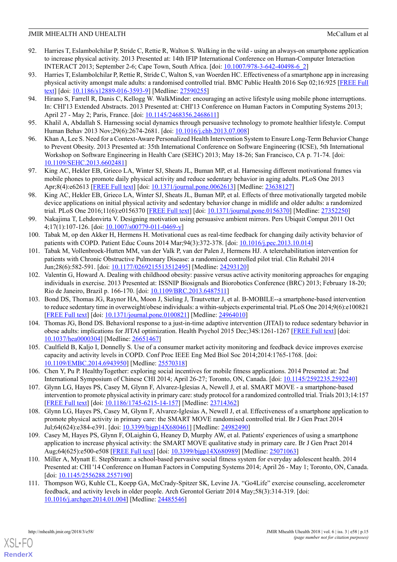- <span id="page-14-2"></span>92. Harries T, Eslambolchilar P, Stride C, Rettie R, Walton S. Walking in the wild - using an always-on smartphone application to increase physical activity. 2013 Presented at: 14th IFIP International Conference on Human-Computer Interaction INTERACT 2013; September 2-6; Cape Town, South Africa. [doi: [10.1007/978-3-642-40498-6\\_2](http://dx.doi.org/10.1007/978-3-642-40498-6_2)]
- 93. Harries T, Eslambolchilar P, Rettie R, Stride C, Walton S, van Woerden HC. Effectiveness of a smartphone app in increasing physical activity amongst male adults: a randomised controlled trial. BMC Public Health 2016 Sep 02;16:925 [[FREE Full](https://bmcpublichealth.biomedcentral.com/articles/10.1186/s12889-016-3593-9) [text\]](https://bmcpublichealth.biomedcentral.com/articles/10.1186/s12889-016-3593-9) [doi: [10.1186/s12889-016-3593-9](http://dx.doi.org/10.1186/s12889-016-3593-9)] [Medline: [27590255](http://www.ncbi.nlm.nih.gov/entrez/query.fcgi?cmd=Retrieve&db=PubMed&list_uids=27590255&dopt=Abstract)]
- <span id="page-14-8"></span>94. Hirano S, Farrell R, Danis C, Kellogg W. WalkMinder: encouraging an active lifestyle using mobile phone interruptions. In: CHI'13 Extended Abstracts. 2013 Presented at: CHI'13 Conference on Human Factors in Computing Systems 2013; April 27 - May 2; Paris, France. [doi: [10.1145/2468356.2468611](http://dx.doi.org/10.1145/2468356.2468611)]
- 95. Khalil A, Abdallah S. Harnessing social dynamics through persuasive technology to promote healthier lifestyle. Comput Human Behav 2013 Nov;29(6):2674-2681. [doi: [10.1016/j.chb.2013.07.008](http://dx.doi.org/10.1016/j.chb.2013.07.008)]
- <span id="page-14-7"></span>96. Khan A, Lee S. Need for a Context-Aware Personalized Health Intervention System to Ensure Long-Term Behavior Change to Prevent Obesity. 2013 Presented at: 35th International Conference on Software Engineering (ICSE), 5th International Workshop on Software Engineering in Health Care (SEHC) 2013; May 18-26; San Francisco, CA p. 71-74. [doi: [10.1109/SEHC.2013.6602481\]](http://dx.doi.org/10.1109/SEHC.2013.6602481)
- 97. King AC, Hekler EB, Grieco LA, Winter SJ, Sheats JL, Buman MP, et al. Harnessing different motivational frames via mobile phones to promote daily physical activity and reduce sedentary behavior in aging adults. PLoS One 2013 Apr;8(4):e62613 [[FREE Full text](http://dx.plos.org/10.1371/journal.pone.0062613)] [doi: [10.1371/journal.pone.0062613](http://dx.doi.org/10.1371/journal.pone.0062613)] [Medline: [23638127\]](http://www.ncbi.nlm.nih.gov/entrez/query.fcgi?cmd=Retrieve&db=PubMed&list_uids=23638127&dopt=Abstract)
- <span id="page-14-3"></span>98. King AC, Hekler EB, Grieco LA, Winter SJ, Sheats JL, Buman MP, et al. Effects of three motivationally targeted mobile device applications on initial physical activity and sedentary behavior change in midlife and older adults: a randomized trial. PLoS One 2016;11(6):e0156370 [[FREE Full text](http://dx.plos.org/10.1371/journal.pone.0156370)] [doi: [10.1371/journal.pone.0156370](http://dx.doi.org/10.1371/journal.pone.0156370)] [Medline: [27352250\]](http://www.ncbi.nlm.nih.gov/entrez/query.fcgi?cmd=Retrieve&db=PubMed&list_uids=27352250&dopt=Abstract)
- 99. Nakajima T, Lehdonvirta V. Designing motivation using persuasive ambient mirrors. Pers Ubiquit Comput 2011 Oct 4;17(1):107-126. [doi: [10.1007/s00779-011-0469-y](http://dx.doi.org/10.1007/s00779-011-0469-y)]
- 100. Tabak M, op den Akker H, Hermens H. Motivational cues as real-time feedback for changing daily activity behavior of patients with COPD. Patient Educ Couns 2014 Mar;94(3):372-378. [doi: [10.1016/j.pec.2013.10.014](http://dx.doi.org/10.1016/j.pec.2013.10.014)]
- <span id="page-14-1"></span>101. Tabak M, Vollenbroek-Hutten MM, van der Valk P, van der Palen J, Hermens HJ. A telerehabilitation intervention for patients with Chronic Obstructive Pulmonary Disease: a randomized controlled pilot trial. Clin Rehabil 2014 Jun;28(6):582-591. [doi: [10.1177/0269215513512495](http://dx.doi.org/10.1177/0269215513512495)] [Medline: [24293120\]](http://www.ncbi.nlm.nih.gov/entrez/query.fcgi?cmd=Retrieve&db=PubMed&list_uids=24293120&dopt=Abstract)
- <span id="page-14-5"></span>102. Valentin G, Howard A. Dealing with childhood obesity: passive versus active activity monitoring approaches for engaging individuals in exercise. 2013 Presented at: ISSNIP Biosignals and Biorobotics Conference (BRC) 2013; February 18-20; Rio de Janeiro, Brazil p. 166-170. [doi: [10.1109/BRC.2013.6487511](http://dx.doi.org/10.1109/BRC.2013.6487511)]
- <span id="page-14-4"></span>103. Bond DS, Thomas JG, Raynor HA, Moon J, Sieling J, Trautvetter J, et al. B-MOBILE--a smartphone-based intervention to reduce sedentary time in overweight/obese individuals: a within-subjects experimental trial. PLoS One 2014;9(6):e100821 [[FREE Full text](http://dx.plos.org/10.1371/journal.pone.0100821)] [doi: [10.1371/journal.pone.0100821](http://dx.doi.org/10.1371/journal.pone.0100821)] [Medline: [24964010](http://www.ncbi.nlm.nih.gov/entrez/query.fcgi?cmd=Retrieve&db=PubMed&list_uids=24964010&dopt=Abstract)]
- <span id="page-14-6"></span><span id="page-14-0"></span>104. Thomas JG, Bond DS. Behavioral response to a just-in-time adaptive intervention (JITAI) to reduce sedentary behavior in obese adults: implications for JITAI optimization. Health Psychol 2015 Dec;34S:1261-1267 [\[FREE Full text\]](http://europepmc.org/abstract/MED/26651467) [doi: [10.1037/hea0000304\]](http://dx.doi.org/10.1037/hea0000304) [Medline: [26651467](http://www.ncbi.nlm.nih.gov/entrez/query.fcgi?cmd=Retrieve&db=PubMed&list_uids=26651467&dopt=Abstract)]
- 105. Caulfield B, Kaljo I, Donnelly S. Use of a consumer market activity monitoring and feedback device improves exercise capacity and activity levels in COPD. Conf Proc IEEE Eng Med Biol Soc 2014;2014:1765-1768. [doi: [10.1109/EMBC.2014.6943950\]](http://dx.doi.org/10.1109/EMBC.2014.6943950) [Medline: [25570318](http://www.ncbi.nlm.nih.gov/entrez/query.fcgi?cmd=Retrieve&db=PubMed&list_uids=25570318&dopt=Abstract)]
- 106. Chen Y, Pu P. HealthyTogether: exploring social incentives for mobile fitness applications. 2014 Presented at: 2nd International Symposium of Chinese CHI 2014; April 26-27; Toronto, ON, Canada. [doi: [10.1145/2592235.2592240\]](http://dx.doi.org/10.1145/2592235.2592240)
- 107. Glynn LG, Hayes PS, Casey M, Glynn F, Alvarez-Iglesias A, Newell J, et al. SMART MOVE a smartphone-based intervention to promote physical activity in primary care: study protocol for a randomized controlled trial. Trials 2013;14:157 [[FREE Full text](http://trialsjournal.biomedcentral.com/articles/10.1186/1745-6215-14-157)] [doi: [10.1186/1745-6215-14-157](http://dx.doi.org/10.1186/1745-6215-14-157)] [Medline: [23714362](http://www.ncbi.nlm.nih.gov/entrez/query.fcgi?cmd=Retrieve&db=PubMed&list_uids=23714362&dopt=Abstract)]
- <span id="page-14-9"></span>108. Glynn LG, Hayes PS, Casey M, Glynn F, Alvarez-Iglesias A, Newell J, et al. Effectiveness of a smartphone application to promote physical activity in primary care: the SMART MOVE randomised controlled trial. Br J Gen Pract 2014 Jul;64(624):e384-e391. [doi: [10.3399/bjgp14X680461](http://dx.doi.org/10.3399/bjgp14X680461)] [Medline: [24982490\]](http://www.ncbi.nlm.nih.gov/entrez/query.fcgi?cmd=Retrieve&db=PubMed&list_uids=24982490&dopt=Abstract)
- 109. Casey M, Hayes PS, Glynn F, OLaighin G, Heaney D, Murphy AW, et al. Patients' experiences of using a smartphone application to increase physical activity: the SMART MOVE qualitative study in primary care. Br J Gen Pract 2014 Aug;64(625):e500-e508 [[FREE Full text](http://europepmc.org/abstract/MED/25071063)] [doi: [10.3399/bjgp14X680989\]](http://dx.doi.org/10.3399/bjgp14X680989) [Medline: [25071063\]](http://www.ncbi.nlm.nih.gov/entrez/query.fcgi?cmd=Retrieve&db=PubMed&list_uids=25071063&dopt=Abstract)
- 110. Miller A, Mynatt E. StepStream: a school-based pervasive social fitness system for everyday adolescent health. 2014 Presented at: CHI '14 Conference on Human Factors in Computing Systems 2014; April 26 - May 1; Toronto, ON, Canada. [doi: [10.1145/2556288.2557190](http://dx.doi.org/10.1145/2556288.2557190)]
- 111. Thompson WG, Kuhle CL, Koepp GA, McCrady-Spitzer SK, Levine JA. "Go4Life" exercise counseling, accelerometer feedback, and activity levels in older people. Arch Gerontol Geriatr 2014 May;58(3):314-319. [doi: [10.1016/j.archger.2014.01.004\]](http://dx.doi.org/10.1016/j.archger.2014.01.004) [Medline: [24485546\]](http://www.ncbi.nlm.nih.gov/entrez/query.fcgi?cmd=Retrieve&db=PubMed&list_uids=24485546&dopt=Abstract)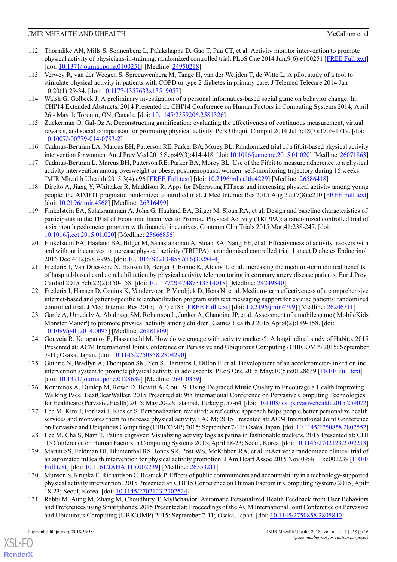- 112. Thorndike AN, Mills S, Sonnenberg L, Palakshappa D, Gao T, Pau CT, et al. Activity monitor intervention to promote physical activity of physicians-in-training: randomized controlled trial. PLoS One 2014 Jun;9(6):e100251 [[FREE Full text](http://dx.plos.org/10.1371/journal.pone.0100251)] [doi: <u>10.1371/journal.pone.0100251</u>] [Medline: [24950218\]](http://www.ncbi.nlm.nih.gov/entrez/query.fcgi?cmd=Retrieve&db=PubMed&list_uids=24950218&dopt=Abstract)
- <span id="page-15-12"></span>113. Verwey R, van der Weegen S, Spreeuwenberg M, Tange H, van der Weijden T, de Witte L. A pilot study of a tool to stimulate physical activity in patients with COPD or type 2 diabetes in primary care. J Telemed Telecare 2014 Jan 10;20(1):29-34. [doi: [10.1177/1357633x13519057](http://dx.doi.org/10.1177/1357633x13519057)]
- <span id="page-15-7"></span>114. Walsh G, Golbeck J. A preliminary investigation of a personal informatics-based social game on behavior change. In: CHI'14 Extended Abstracts. 2014 Presented at: CHI'14 Conference on Human Factors in Computing Systems 2014; April 26 - May 1; Toronto, ON, Canada. [doi: [10.1145/2559206.2581326\]](http://dx.doi.org/10.1145/2559206.2581326)
- <span id="page-15-9"></span><span id="page-15-1"></span>115. Zuckerman O, Gal-Oz A. Deconstructing gamification: evaluating the effectiveness of continuous measurement, virtual rewards, and social comparison for promoting physical activity. Pers Ubiquit Comput 2014 Jul 5;18(7):1705-1719. [doi: [10.1007/s00779-014-0783-2\]](http://dx.doi.org/10.1007/s00779-014-0783-2)
- 116. Cadmus-Bertram LA, Marcus BH, Patterson RE, Parker BA, Morey BL. Randomized trial of a fitbit-based physical activity intervention for women. Am J Prev Med 2015 Sep;49(3):414-418. [doi: [10.1016/j.amepre.2015.01.020](http://dx.doi.org/10.1016/j.amepre.2015.01.020)] [Medline: [26071863](http://www.ncbi.nlm.nih.gov/entrez/query.fcgi?cmd=Retrieve&db=PubMed&list_uids=26071863&dopt=Abstract)]
- <span id="page-15-2"></span>117. Cadmus-Bertram L, Marcus BH, Patterson RE, Parker BA, Morey BL. Use of the Fitbit to measure adherence to a physical activity intervention among overweight or obese, postmenopausal women: self-monitoring trajectory during 16 weeks. JMIR Mhealth Uhealth 2015;3(4):e96 [\[FREE Full text\]](http://mhealth.jmir.org/2015/4/e96/) [doi: [10.2196/mhealth.4229\]](http://dx.doi.org/10.2196/mhealth.4229) [Medline: [26586418\]](http://www.ncbi.nlm.nih.gov/entrez/query.fcgi?cmd=Retrieve&db=PubMed&list_uids=26586418&dopt=Abstract)
- <span id="page-15-4"></span>118. Direito A, Jiang Y, Whittaker R, Maddison R. Apps for IMproving FITness and increasing physical activity among young people: the AIMFIT pragmatic randomized controlled trial. J Med Internet Res 2015 Aug 27;17(8):e210 [[FREE Full text](http://www.jmir.org/2015/8/e210/)] [doi: [10.2196/jmir.4568\]](http://dx.doi.org/10.2196/jmir.4568) [Medline: [26316499\]](http://www.ncbi.nlm.nih.gov/entrez/query.fcgi?cmd=Retrieve&db=PubMed&list_uids=26316499&dopt=Abstract)
- 119. Finkelstein EA, Sahasranaman A, John G, Haaland BA, Bilger M, Sloan RA, et al. Design and baseline characteristics of participants in the TRial of Economic Incentives to Promote Physical Activity (TRIPPA): a randomized controlled trial of a six month pedometer program with financial incentives. Contemp Clin Trials 2015 Mar;41:238-247. [doi: [10.1016/j.cct.2015.01.020](http://dx.doi.org/10.1016/j.cct.2015.01.020)] [Medline: [25666856\]](http://www.ncbi.nlm.nih.gov/entrez/query.fcgi?cmd=Retrieve&db=PubMed&list_uids=25666856&dopt=Abstract)
- 120. Finkelstein EA, Haaland BA, Bilger M, Sahasranaman A, Sloan RA, Nang EE, et al. Effectiveness of activity trackers with and without incentives to increase physical activity (TRIPPA): a randomised controlled trial. Lancet Diabetes Endocrinol 2016 Dec;4(12):983-995. [doi: [10.1016/S2213-8587\(16\)30284-4](http://dx.doi.org/10.1016/S2213-8587(16)30284-4)]
- <span id="page-15-0"></span>121. Frederix I, Van Driessche N, Hansen D, Berger J, Bonne K, Alders T, et al. Increasing the medium-term clinical benefits of hospital-based cardiac rehabilitation by physical activity telemonitoring in coronary artery disease patients. Eur J Prev Cardiol 2015 Feb; 22(2): 150-158. [doi: [10.1177/2047487313514018](http://dx.doi.org/10.1177/2047487313514018)] [Medline: [24249840\]](http://www.ncbi.nlm.nih.gov/entrez/query.fcgi?cmd=Retrieve&db=PubMed&list_uids=24249840&dopt=Abstract)
- <span id="page-15-3"></span>122. Frederix I, Hansen D, Coninx K, Vandervoort P, Vandijck D, Hens N, et al. Medium-term effectiveness of a comprehensive internet-based and patient-specific telerehabilitation program with text messaging support for cardiac patients: randomized controlled trial. J Med Internet Res 2015;17(7):e185 [\[FREE Full text\]](http://www.jmir.org/2015/7/e185/) [doi: [10.2196/jmir.4799\]](http://dx.doi.org/10.2196/jmir.4799) [Medline: [26206311](http://www.ncbi.nlm.nih.gov/entrez/query.fcgi?cmd=Retrieve&db=PubMed&list_uids=26206311&dopt=Abstract)]
- <span id="page-15-5"></span>123. Garde A, Umedaly A, Abulnaga SM, Robertson L, Junker A, Chanoine JP, et al. Assessment of a mobile game ('MobileKids Monster Manor') to promote physical activity among children. Games Health J 2015 Apr;4(2):149-158. [doi: [10.1089/g4h.2014.0095\]](http://dx.doi.org/10.1089/g4h.2014.0095) [Medline: [26181809\]](http://www.ncbi.nlm.nih.gov/entrez/query.fcgi?cmd=Retrieve&db=PubMed&list_uids=26181809&dopt=Abstract)
- <span id="page-15-10"></span>124. Gouveia R, Karapanos E, Hassenzahl M. How do we engage with activity trackers?: A longitudinal study of Habito. 2015 Presented at: ACM International Joint Conference on Pervasive and Ubiquitous Computing (UBICOMP) 2015; September 7-11; Osaka, Japan. [doi: [10.1145/2750858.2804290](http://dx.doi.org/10.1145/2750858.2804290)]
- <span id="page-15-6"></span>125. Guthrie N, Bradlyn A, Thompson SK, Yen S, Haritatos J, Dillon F, et al. Development of an accelerometer-linked online intervention system to promote physical activity in adolescents. PLoS One 2015 May;10(5):e0128639 [\[FREE Full text\]](http://dx.plos.org/10.1371/journal.pone.0128639) [doi: [10.1371/journal.pone.0128639\]](http://dx.doi.org/10.1371/journal.pone.0128639) [Medline: [26010359\]](http://www.ncbi.nlm.nih.gov/entrez/query.fcgi?cmd=Retrieve&db=PubMed&list_uids=26010359&dopt=Abstract)
- <span id="page-15-11"></span>126. Komninos A, Dunlop M, Rowe D, Hewitt A, Coull S. Using Degraded Music Quality to Encourage a Health Improving Walking Pace: BeatClearWalker. 2015 Presented at: 9th International Conference on Pervasive Computing Technologies for Healthcare (PervasiveHealth) 2015; May 20-23; Istanbul, Turkey p. 57-64. [doi: [10.4108/icst.pervasivehealth.2015.259072\]](http://dx.doi.org/10.4108/icst.pervasivehealth.2015.259072)
- <span id="page-15-13"></span>127. Lee M, Kim J, Forlizzi J, Kiesler S. Personalization revisited: a reflective approach helps people better personalize health services and motivates them to increase physical activity. : ACM; 2015 Presented at: ACM International Joint Conference on Pervasive and Ubiquitous Computing (UBICOMP) 2015; September 7-11; Osaka, Japan. [doi: [10.1145/2750858.2807552\]](http://dx.doi.org/10.1145/2750858.2807552)
- <span id="page-15-8"></span>128. Lee M, Cha S, Nam T. Patina engraver: Visualizing activity logs as patina in fashionable trackers. 2015 Presented at: CHI '15 Conference on Human Factors in Computing Systems 2015; April 18-23; Seoul, Korea. [doi: [10.1145/2702123.2702213\]](http://dx.doi.org/10.1145/2702123.2702213)
- <span id="page-15-14"></span>129. Martin SS, Feldman DI, Blumenthal RS, Jones SR, Post WS, McKibben RA, et al. mActive: a randomized clinical trial of an automated mHealth intervention for physical activity promotion. J Am Heart Assoc 2015 Nov 09;4(11):e002239 [\[FREE](http://jaha.ahajournals.org/cgi/pmidlookup?view=long&pmid=26553211) [Full text](http://jaha.ahajournals.org/cgi/pmidlookup?view=long&pmid=26553211)] [doi: [10.1161/JAHA.115.002239](http://dx.doi.org/10.1161/JAHA.115.002239)] [Medline: [26553211\]](http://www.ncbi.nlm.nih.gov/entrez/query.fcgi?cmd=Retrieve&db=PubMed&list_uids=26553211&dopt=Abstract)
- 130. Munson S, Krupka E, Richardson C, Resnick P. Effects of public commitments and accountability in a technology-supported physical activity intervention. 2015 Presented at: CHI'15 Conference on Human Factors in Computing Systems 2015; Apilr 18-23; Seoul, Korea. [doi: [10.1145/2702123.2702524](http://dx.doi.org/10.1145/2702123.2702524)]
- 131. Rabbi M, Aung M, Zhang M, Choudhury T. MyBehavior: Automatic Personalized Health Feedback from User Behaviors and Preferences using Smartphones. 2015 Presented at: Proceedings of the ACM International Joint Conference on Pervasive and Ubiquitous Computing (UBICOMP) 2015; September 7-11; Osaka, Japan. [doi: [10.1145/2750858.2805840\]](http://dx.doi.org/10.1145/2750858.2805840)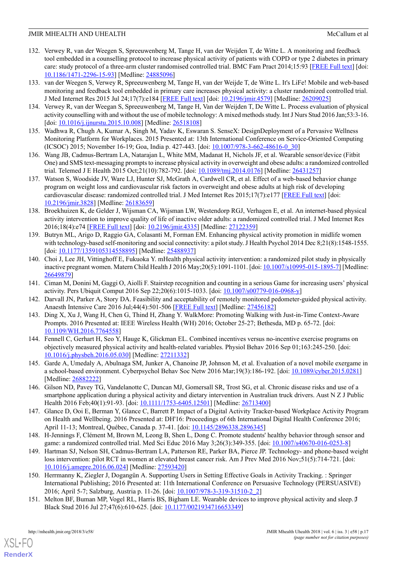- <span id="page-16-13"></span>132. Verwey R, van der Weegen S, Spreeuwenberg M, Tange H, van der Weijden T, de Witte L. A monitoring and feedback tool embedded in a counselling protocol to increase physical activity of patients with COPD or type 2 diabetes in primary care: study protocol of a three-arm cluster randomised controlled trial. BMC Fam Pract 2014;15:93 [[FREE Full text](http://www.biomedcentral.com/1471-2296/15/93)] [doi: [10.1186/1471-2296-15-93](http://dx.doi.org/10.1186/1471-2296-15-93)] [Medline: [24885096](http://www.ncbi.nlm.nih.gov/entrez/query.fcgi?cmd=Retrieve&db=PubMed&list_uids=24885096&dopt=Abstract)]
- <span id="page-16-1"></span>133. van der Weegen S, Verwey R, Spreeuwenberg M, Tange H, van der Weijde T, de Witte L. It's LiFe! Mobile and web-based monitoring and feedback tool embedded in primary care increases physical activity: a cluster randomized controlled trial. J Med Internet Res 2015 Jul 24;17(7):e184 [[FREE Full text](http://www.jmir.org/2015/7/e184/)] [doi: [10.2196/jmir.4579](http://dx.doi.org/10.2196/jmir.4579)] [Medline: [26209025](http://www.ncbi.nlm.nih.gov/entrez/query.fcgi?cmd=Retrieve&db=PubMed&list_uids=26209025&dopt=Abstract)]
- <span id="page-16-9"></span>134. Verwey R, van der Weegan S, Spreeuwenberg M, Tange H, Van der Weijden T, De Witte L. Process evaluation of physical activity counselling with and without the use of mobile technology: A mixed methods study. Int J Nurs Stud 2016 Jan;53:3-16. [doi: [10.1016/j.ijnurstu.2015.10.008\]](http://dx.doi.org/10.1016/j.ijnurstu.2015.10.008) [Medline: [26518108](http://www.ncbi.nlm.nih.gov/entrez/query.fcgi?cmd=Retrieve&db=PubMed&list_uids=26518108&dopt=Abstract)]
- <span id="page-16-7"></span>135. Wadhwa R, Chugh A, Kumar A, Singh M, Yadav K, Eswaran S. SenseX: DesignDeployment of a Pervasive Wellness Monitoring Platform for Workplaces. 2015 Presented at: 13th International Conference on Service-Oriented Computing (ICSOC) 2015; November 16-19; Goa, India p. 427-443. [doi: [10.1007/978-3-662-48616-0\\_30\]](http://dx.doi.org/10.1007/978-3-662-48616-0_30)
- <span id="page-16-2"></span>136. Wang JB, Cadmus-Bertram LA, Natarajan L, White MM, Madanat H, Nichols JF, et al. Wearable sensor/device (Fitbit One) and SMS text-messaging prompts to increase physical activity in overweight and obese adults: a randomized controlled trial. Telemed J E Health 2015 Oct;21(10):782-792. [doi: [10.1089/tmj.2014.0176\]](http://dx.doi.org/10.1089/tmj.2014.0176) [Medline: [26431257\]](http://www.ncbi.nlm.nih.gov/entrez/query.fcgi?cmd=Retrieve&db=PubMed&list_uids=26431257&dopt=Abstract)
- 137. Watson S, Woodside JV, Ware LJ, Hunter SJ, McGrath A, Cardwell CR, et al. Effect of a web-based behavior change program on weight loss and cardiovascular risk factors in overweight and obese adults at high risk of developing cardiovascular disease: randomized controlled trial. J Med Internet Res 2015;17(7):e177 [[FREE Full text](http://www.jmir.org/2015/7/e177/)] [doi: [10.2196/jmir.3828](http://dx.doi.org/10.2196/jmir.3828)] [Medline: [26183659](http://www.ncbi.nlm.nih.gov/entrez/query.fcgi?cmd=Retrieve&db=PubMed&list_uids=26183659&dopt=Abstract)]
- <span id="page-16-6"></span>138. Broekhuizen K, de Gelder J, Wijsman CA, Wijsman LW, Westendorp RGJ, Verhagen E, et al. An internet-based physical activity intervention to improve quality of life of inactive older adults: a randomized controlled trial. J Med Internet Res 2016;18(4):e74 [[FREE Full text](http://www.jmir.org/2016/4/e74/)] [doi: [10.2196/jmir.4335\]](http://dx.doi.org/10.2196/jmir.4335) [Medline: [27122359](http://www.ncbi.nlm.nih.gov/entrez/query.fcgi?cmd=Retrieve&db=PubMed&list_uids=27122359&dopt=Abstract)]
- <span id="page-16-8"></span>139. Butryn ML, Arigo D, Raggio GA, Colasanti M, Forman EM. Enhancing physical activity promotion in midlife women with technology-based self-monitoring and social connectivity: a pilot study. J Health Psychol 2014 Dec 8;21(8):1548-1555. [doi: [10.1177/1359105314558895\]](http://dx.doi.org/10.1177/1359105314558895) [Medline: [25488937](http://www.ncbi.nlm.nih.gov/entrez/query.fcgi?cmd=Retrieve&db=PubMed&list_uids=25488937&dopt=Abstract)]
- <span id="page-16-15"></span><span id="page-16-11"></span>140. Choi J, Lee JH, Vittinghoff E, Fukuoka Y. mHealth physical activity intervention: a randomized pilot study in physically inactive pregnant women. Matern Child Health J 2016 May;20(5):1091-1101. [doi: [10.1007/s10995-015-1895-7](http://dx.doi.org/10.1007/s10995-015-1895-7)] [Medline: [26649879](http://www.ncbi.nlm.nih.gov/entrez/query.fcgi?cmd=Retrieve&db=PubMed&list_uids=26649879&dopt=Abstract)]
- <span id="page-16-10"></span>141. Ciman M, Donini M, Gaggi O, Aiolli F. Stairstep recognition and counting in a serious Game for increasing users' physical activity. Pers Ubiquit Comput 2016 Sep 22;20(6):1015-1033. [doi: [10.1007/s00779-016-0968-y](http://dx.doi.org/10.1007/s00779-016-0968-y)]
- <span id="page-16-4"></span>142. Darvall JN, Parker A, Story DA. Feasibility and acceptability of remotely monitored pedometer-guided physical activity. Anaesth Intensive Care 2016 Jul;44(4):501-506 [[FREE Full text](http://www.aaic.net.au/PMID/27456182)] [Medline: [27456182\]](http://www.ncbi.nlm.nih.gov/entrez/query.fcgi?cmd=Retrieve&db=PubMed&list_uids=27456182&dopt=Abstract)
- 143. Ding X, Xu J, Wang H, Chen G, Thind H, Zhang Y. WalkMore: Promoting Walking with Just-in-Time Context-Aware Prompts. 2016 Presented at: IEEE Wireless Health (WH) 2016; October 25-27; Bethesda, MD p. 65-72. [doi: [10.1109/WH.2016.7764558](http://dx.doi.org/10.1109/WH.2016.7764558)]
- <span id="page-16-12"></span>144. Fennell C, Gerhart H, Seo Y, Hauge K, Glickman EL. Combined incentives versus no-incentive exercise programs on objectively measured physical activity and health-related variables. Physiol Behav 2016 Sep 01;163:245-250. [doi: [10.1016/j.physbeh.2016.05.030\]](http://dx.doi.org/10.1016/j.physbeh.2016.05.030) [Medline: [27211332](http://www.ncbi.nlm.nih.gov/entrez/query.fcgi?cmd=Retrieve&db=PubMed&list_uids=27211332&dopt=Abstract)]
- <span id="page-16-14"></span>145. Garde A, Umedaly A, Abulnaga SM, Junker A, Chanoine JP, Johnson M, et al. Evaluation of a novel mobile exergame in a school-based environment. Cyberpsychol Behav Soc Netw 2016 Mar;19(3):186-192. [doi: [10.1089/cyber.2015.0281](http://dx.doi.org/10.1089/cyber.2015.0281)] [Medline: [26882222](http://www.ncbi.nlm.nih.gov/entrez/query.fcgi?cmd=Retrieve&db=PubMed&list_uids=26882222&dopt=Abstract)]
- <span id="page-16-3"></span>146. Gilson ND, Pavey TG, Vandelanotte C, Duncan MJ, Gomersall SR, Trost SG, et al. Chronic disease risks and use of a smartphone application during a physical activity and dietary intervention in Australian truck drivers. Aust N Z J Public Health 2016 Feb; 40(1): 91-93. [doi: [10.1111/1753-6405.12501](http://dx.doi.org/10.1111/1753-6405.12501)] [Medline: [26713400\]](http://www.ncbi.nlm.nih.gov/entrez/query.fcgi?cmd=Retrieve&db=PubMed&list_uids=26713400&dopt=Abstract)
- 147. Glance D, Ooi E, Berman Y, Glance C, Barrett P. Impact of a Digital Activity Tracker-based Workplace Activity Program on Health and Wellbeing. 2016 Presented at: DH'16: Proceedings of 6th International Digital Health Conference 2016; April 11-13; Montreal, Québec, Canada p. 37-41. [doi: [10.1145/2896338.2896345](http://dx.doi.org/10.1145/2896338.2896345)]
- <span id="page-16-5"></span>148. H-Jennings F, Clément M, Brown M, Leong B, Shen L, Dong C. Promote students' healthy behavior through sensor and game: a randomized controlled trial. Med Sci Educ 2016 May 3;26(3):349-355. [doi: [10.1007/s40670-016-0253-8\]](http://dx.doi.org/10.1007/s40670-016-0253-8)
- <span id="page-16-0"></span>149. Hartman SJ, Nelson SH, Cadmus-Bertram LA, Patterson RE, Parker BA, Pierce JP. Technology- and phone-based weight loss intervention: pilot RCT in women at elevated breast cancer risk. Am J Prev Med 2016 Nov;51(5):714-721. [doi: [10.1016/j.amepre.2016.06.024\]](http://dx.doi.org/10.1016/j.amepre.2016.06.024) [Medline: [27593420\]](http://www.ncbi.nlm.nih.gov/entrez/query.fcgi?cmd=Retrieve&db=PubMed&list_uids=27593420&dopt=Abstract)
- 150. Herrmanny K, Ziegler J, Dogangün A. Supporting Users in Setting Effective Goals in Activity Tracking. : Springer International Publishing; 2016 Presented at: 11th International Conference on Persuasive Technology (PERSUASIVE) 2016; April 5-7; Salzburg, Austria p. 11-26. [doi:  $10.1007/978-3-319-31510-2$  2]
- 151. Melton BF, Buman MP, Vogel RL, Harris BS, Bigham LE. Wearable devices to improve physical activity and sleep. J Black Stud 2016 Jul 27;47(6):610-625. [doi: [10.1177/0021934716653349\]](http://dx.doi.org/10.1177/0021934716653349)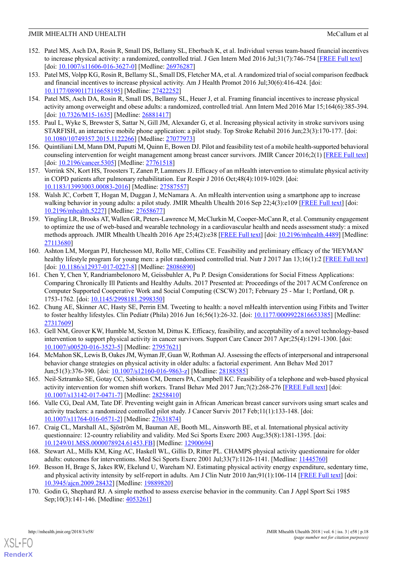- <span id="page-17-7"></span>152. Patel MS, Asch DA, Rosin R, Small DS, Bellamy SL, Eberbach K, et al. Individual versus team-based financial incentives to increase physical activity: a randomized, controlled trial. J Gen Intern Med 2016 Jul;31(7):746-754 [\[FREE Full text\]](http://europepmc.org/abstract/MED/26976287) [doi: [10.1007/s11606-016-3627-0\]](http://dx.doi.org/10.1007/s11606-016-3627-0) [Medline: [26976287](http://www.ncbi.nlm.nih.gov/entrez/query.fcgi?cmd=Retrieve&db=PubMed&list_uids=26976287&dopt=Abstract)]
- <span id="page-17-11"></span>153. Patel MS, Volpp KG, Rosin R, Bellamy SL, Small DS, Fletcher MA, et al. A randomized trial of social comparison feedback and financial incentives to increase physical activity. Am J Health Promot 2016 Jul;30(6):416-424. [doi: [10.1177/0890117116658195\]](http://dx.doi.org/10.1177/0890117116658195) [Medline: [27422252](http://www.ncbi.nlm.nih.gov/entrez/query.fcgi?cmd=Retrieve&db=PubMed&list_uids=27422252&dopt=Abstract)]
- <span id="page-17-8"></span>154. Patel MS, Asch DA, Rosin R, Small DS, Bellamy SL, Heuer J, et al. Framing financial incentives to increase physical activity among overweight and obese adults: a randomized, controlled trial. Ann Intern Med 2016 Mar 15;164(6):385-394. [doi: [10.7326/M15-1635](http://dx.doi.org/10.7326/M15-1635)] [Medline: [26881417](http://www.ncbi.nlm.nih.gov/entrez/query.fcgi?cmd=Retrieve&db=PubMed&list_uids=26881417&dopt=Abstract)]
- <span id="page-17-14"></span>155. Paul L, Wyke S, Brewster S, Sattar N, Gill JM, Alexander G, et al. Increasing physical activity in stroke survivors using STARFISH, an interactive mobile phone application: a pilot study. Top Stroke Rehabil 2016 Jun;23(3):170-177. [doi: [10.1080/10749357.2015.1122266](http://dx.doi.org/10.1080/10749357.2015.1122266)] [Medline: [27077973](http://www.ncbi.nlm.nih.gov/entrez/query.fcgi?cmd=Retrieve&db=PubMed&list_uids=27077973&dopt=Abstract)]
- 156. Quintiliani LM, Mann DM, Puputti M, Quinn E, Bowen DJ. Pilot and feasibility test of a mobile health-supported behavioral counseling intervention for weight management among breast cancer survivors. JMIR Cancer 2016;2(1) [[FREE Full text](http://cancer.jmir.org/2016/1//)] [doi: [10.2196/cancer.5305](http://dx.doi.org/10.2196/cancer.5305)] [Medline: [27761518\]](http://www.ncbi.nlm.nih.gov/entrez/query.fcgi?cmd=Retrieve&db=PubMed&list_uids=27761518&dopt=Abstract)
- 157. Vorrink SN, Kort HS, Troosters T, Zanen P, Lammers JJ. Efficacy of an mHealth intervention to stimulate physical activity in COPD patients after pulmonary rehabilitation. Eur Respir J 2016 Oct;48(4):1019-1029. [doi: [10.1183/13993003.00083-2016](http://dx.doi.org/10.1183/13993003.00083-2016)] [Medline: [27587557\]](http://www.ncbi.nlm.nih.gov/entrez/query.fcgi?cmd=Retrieve&db=PubMed&list_uids=27587557&dopt=Abstract)
- <span id="page-17-2"></span>158. Walsh JC, Corbett T, Hogan M, Duggan J, McNamara A. An mHealth intervention using a smartphone app to increase walking behavior in young adults: a pilot study. JMIR Mhealth Uhealth 2016 Sep 22;4(3):e109 [[FREE Full text](http://mhealth.jmir.org/2016/3/e109/)] [doi: [10.2196/mhealth.5227](http://dx.doi.org/10.2196/mhealth.5227)] [Medline: [27658677](http://www.ncbi.nlm.nih.gov/entrez/query.fcgi?cmd=Retrieve&db=PubMed&list_uids=27658677&dopt=Abstract)]
- <span id="page-17-13"></span>159. Yingling LR, Brooks AT, Wallen GR, Peters-Lawrence M, McClurkin M, Cooper-McCann R, et al. Community engagement to optimize the use of web-based and wearable technology in a cardiovascular health and needs assessment study: a mixed methods approach. JMIR Mhealth Uhealth 2016 Apr 25;4(2):e38 [[FREE Full text](http://mhealth.jmir.org/2016/2/e38/)] [doi: [10.2196/mhealth.4489\]](http://dx.doi.org/10.2196/mhealth.4489) [Medline: [27113680](http://www.ncbi.nlm.nih.gov/entrez/query.fcgi?cmd=Retrieve&db=PubMed&list_uids=27113680&dopt=Abstract)]
- <span id="page-17-10"></span>160. Ashton LM, Morgan PJ, Hutchesson MJ, Rollo ME, Collins CE. Feasibility and preliminary efficacy of the 'HEYMAN' healthy lifestyle program for young men: a pilot randomised controlled trial. Nutr J 2017 Jan 13;16(1):2 [\[FREE Full text](https://nutritionj.biomedcentral.com/articles/10.1186/s12937-017-0227-8)] [doi: [10.1186/s12937-017-0227-8\]](http://dx.doi.org/10.1186/s12937-017-0227-8) [Medline: [28086890](http://www.ncbi.nlm.nih.gov/entrez/query.fcgi?cmd=Retrieve&db=PubMed&list_uids=28086890&dopt=Abstract)]
- <span id="page-17-1"></span>161. Chen Y, Chen Y, Randriambelonoro M, Geissbuhler A, Pu P. Design Considerations for Social Fitness Applications: Comparing Chronically Ill Patients and Healthy Adults. 2017 Presented at: Proceedings of the 2017 ACM Conference on Computer Supported Cooperative Work and Social Computing (CSCW) 2017; February 25 - Mar 1; Portland, OR p. 1753-1762. [doi: [10.1145/2998181.2998350\]](http://dx.doi.org/10.1145/2998181.2998350)
- <span id="page-17-15"></span>162. Chung AE, Skinner AC, Hasty SE, Perrin EM. Tweeting to health: a novel mHealth intervention using Fitbits and Twitter to foster healthy lifestyles. Clin Pediatr (Phila) 2016 Jun 16;56(1):26-32. [doi: [10.1177/0009922816653385\]](http://dx.doi.org/10.1177/0009922816653385) [Medline: [27317609](http://www.ncbi.nlm.nih.gov/entrez/query.fcgi?cmd=Retrieve&db=PubMed&list_uids=27317609&dopt=Abstract)]
- <span id="page-17-12"></span><span id="page-17-9"></span>163. Gell NM, Grover KW, Humble M, Sexton M, Dittus K. Efficacy, feasibility, and acceptability of a novel technology-based intervention to support physical activity in cancer survivors. Support Care Cancer 2017 Apr;25(4):1291-1300. [doi: [10.1007/s00520-016-3523-5\]](http://dx.doi.org/10.1007/s00520-016-3523-5) [Medline: [27957621](http://www.ncbi.nlm.nih.gov/entrez/query.fcgi?cmd=Retrieve&db=PubMed&list_uids=27957621&dopt=Abstract)]
- <span id="page-17-0"></span>164. McMahon SK, Lewis B, Oakes JM, Wyman JF, Guan W, Rothman AJ. Assessing the effects of interpersonal and intrapersonal behavior change strategies on physical activity in older adults: a factorial experiment. Ann Behav Med 2017 Jun;51(3):376-390. [doi: [10.1007/s12160-016-9863-z\]](http://dx.doi.org/10.1007/s12160-016-9863-z) [Medline: [28188585\]](http://www.ncbi.nlm.nih.gov/entrez/query.fcgi?cmd=Retrieve&db=PubMed&list_uids=28188585&dopt=Abstract)
- <span id="page-17-3"></span>165. Neil-Sztramko SE, Gotay CC, Sabiston CM, Demers PA, Campbell KC. Feasibility of a telephone and web-based physical activity intervention for women shift workers. Transl Behav Med 2017 Jun;7(2):268-276 [[FREE Full text](http://europepmc.org/abstract/MED/28258410)] [doi: [10.1007/s13142-017-0471-7\]](http://dx.doi.org/10.1007/s13142-017-0471-7) [Medline: [28258410](http://www.ncbi.nlm.nih.gov/entrez/query.fcgi?cmd=Retrieve&db=PubMed&list_uids=28258410&dopt=Abstract)]
- <span id="page-17-4"></span>166. Valle CG, Deal AM, Tate DF. Preventing weight gain in African American breast cancer survivors using smart scales and activity trackers: a randomized controlled pilot study. J Cancer Surviv 2017 Feb;11(1):133-148. [doi: [10.1007/s11764-016-0571-2](http://dx.doi.org/10.1007/s11764-016-0571-2)] [Medline: [27631874](http://www.ncbi.nlm.nih.gov/entrez/query.fcgi?cmd=Retrieve&db=PubMed&list_uids=27631874&dopt=Abstract)]
- <span id="page-17-5"></span>167. Craig CL, Marshall AL, Sjöström M, Bauman AE, Booth ML, Ainsworth BE, et al. International physical activity questionnaire: 12-country reliability and validity. Med Sci Sports Exerc 2003 Aug;35(8):1381-1395. [doi: [10.1249/01.MSS.0000078924.61453.FB](http://dx.doi.org/10.1249/01.MSS.0000078924.61453.FB)] [Medline: [12900694\]](http://www.ncbi.nlm.nih.gov/entrez/query.fcgi?cmd=Retrieve&db=PubMed&list_uids=12900694&dopt=Abstract)
- <span id="page-17-6"></span>168. Stewart AL, Mills KM, King AC, Haskell WL, Gillis D, Ritter PL. CHAMPS physical activity questionnaire for older adults: outcomes for interventions. Med Sci Sports Exerc 2001 Jul;33(7):1126-1141. [Medline: [11445760](http://www.ncbi.nlm.nih.gov/entrez/query.fcgi?cmd=Retrieve&db=PubMed&list_uids=11445760&dopt=Abstract)]
- 169. Besson H, Brage S, Jakes RW, Ekelund U, Wareham NJ. Estimating physical activity energy expenditure, sedentary time, and physical activity intensity by self-report in adults. Am J Clin Nutr 2010 Jan;91(1):106-114 [\[FREE Full text](http://www.ajcn.org/cgi/pmidlookup?view=long&pmid=19889820)] [doi: [10.3945/ajcn.2009.28432](http://dx.doi.org/10.3945/ajcn.2009.28432)] [Medline: [19889820](http://www.ncbi.nlm.nih.gov/entrez/query.fcgi?cmd=Retrieve&db=PubMed&list_uids=19889820&dopt=Abstract)]
- 170. Godin G, Shephard RJ. A simple method to assess exercise behavior in the community. Can J Appl Sport Sci 1985 Sep;10(3):141-146. [Medline: [4053261\]](http://www.ncbi.nlm.nih.gov/entrez/query.fcgi?cmd=Retrieve&db=PubMed&list_uids=4053261&dopt=Abstract)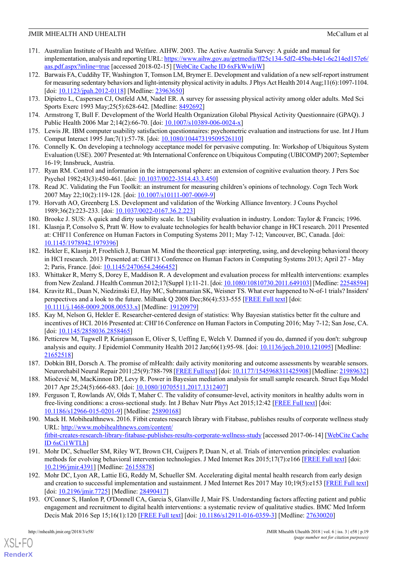- <span id="page-18-0"></span>171. Australian Institute of Health and Welfare. AIHW. 2003. The Active Australia Survey: A guide and manual for implementation, analysis and reporting URL: [https://www.aihw.gov.au/getmedia/ff25c134-5df2-45ba-b4e1-6c214ed157e6/](https://www.aihw.gov.au/getmedia/ff25c134-5df2-45ba-b4e1-6c214ed157e6/aas.pdf.aspx?inline=true) [aas.pdf.aspx?inline=true](https://www.aihw.gov.au/getmedia/ff25c134-5df2-45ba-b4e1-6c214ed157e6/aas.pdf.aspx?inline=true) [accessed 2018-02-15] [\[WebCite Cache ID 6xFkWwIiW\]](http://www.webcitation.org/6xFkWwIiW)
- <span id="page-18-1"></span>172. Barwais FA, Cuddihy TF, Washington T, Tomson LM, Brymer E. Development and validation of a new self-report instrument for measuring sedentary behaviors and light-intensity physical activity in adults. J Phys Act Health 2014 Aug;11(6):1097-1104. [doi: [10.1123/jpah.2012-0118](http://dx.doi.org/10.1123/jpah.2012-0118)] [Medline: [23963650](http://www.ncbi.nlm.nih.gov/entrez/query.fcgi?cmd=Retrieve&db=PubMed&list_uids=23963650&dopt=Abstract)]
- <span id="page-18-3"></span><span id="page-18-2"></span>173. Dipietro L, Caspersen CJ, Ostfeld AM, Nadel ER. A survey for assessing physical activity among older adults. Med Sci Sports Exerc 1993 May;25(5):628-642. [Medline: [8492692\]](http://www.ncbi.nlm.nih.gov/entrez/query.fcgi?cmd=Retrieve&db=PubMed&list_uids=8492692&dopt=Abstract)
- <span id="page-18-4"></span>174. Armstrong T, Bull F. Development of the World Health Organization Global Physical Activity Questionnaire (GPAQ). J Public Health 2006 Mar 2;14(2):66-70. [doi: [10.1007/s10389-006-0024-x](http://dx.doi.org/10.1007/s10389-006-0024-x)]
- <span id="page-18-5"></span>175. Lewis JR. IBM computer usability satisfaction questionnaires: psychometric evaluation and instructions for use. Int J Hum Comput Interact 1995 Jan;7(1):57-78. [doi: [10.1080/10447319509526110\]](http://dx.doi.org/10.1080/10447319509526110)
- <span id="page-18-6"></span>176. Connelly K. On developing a technology acceptance model for pervasive computing. In: Workshop of Ubiquitous System Evaluation (USE). 2007 Presented at: 9th International Conference on Ubiquitous Computing (UBICOMP) 2007; September 16-19; Innsbruck, Austria.
- <span id="page-18-7"></span>177. Ryan RM. Control and information in the intrapersonal sphere: an extension of cognitive evaluation theory. J Pers Soc Psychol 1982;43(3):450-461. [doi: [10.1037/0022-3514.43.3.450\]](http://dx.doi.org/10.1037/0022-3514.43.3.450)
- <span id="page-18-8"></span>178. Read JC. Validating the Fun Toolkit: an instrument for measuring children's opinions of technology. Cogn Tech Work 2007 May 22;10(2):119-128. [doi: [10.1007/s10111-007-0069-9\]](http://dx.doi.org/10.1007/s10111-007-0069-9)
- <span id="page-18-10"></span><span id="page-18-9"></span>179. Horvath AO, Greenberg LS. Development and validation of the Working Alliance Inventory. J Couns Psychol 1989;36(2):223-233. [doi: [10.1037/0022-0167.36.2.223\]](http://dx.doi.org/10.1037/0022-0167.36.2.223)
- 180. Brooke J. SUS: A quick and dirty usability scale. In: Usability evaluation in industry. London: Taylor & Francis; 1996.
- <span id="page-18-11"></span>181. Klasnja P, Consolvo S, Pratt W. How to evaluate technologies for health behavior change in HCI research. 2011 Presented at: CHI'11 Conference on Human Factors in Computing Systems 2011; May 7-12; Vancouver, BC, Canada. [doi: [10.1145/1978942.1979396\]](http://dx.doi.org/10.1145/1978942.1979396)
- <span id="page-18-13"></span><span id="page-18-12"></span>182. Hekler E, Klasnja P, Froehlich J, Buman M. Mind the theoretical gap: interpreting, using, and developing behavioral theory in HCI research. 2013 Presented at: CHI'13 Conference on Human Factors in Computing Systems 2013; April 27 - May 2; Paris, France. [doi: [10.1145/2470654.2466452\]](http://dx.doi.org/10.1145/2470654.2466452)
- 183. Whittaker R, Merry S, Dorey E, Maddison R. A development and evaluation process for mHealth interventions: examples from New Zealand. J Health Commun 2012;17(Suppl 1):11-21. [doi: [10.1080/10810730.2011.649103](http://dx.doi.org/10.1080/10810730.2011.649103)] [Medline: [22548594\]](http://www.ncbi.nlm.nih.gov/entrez/query.fcgi?cmd=Retrieve&db=PubMed&list_uids=22548594&dopt=Abstract)
- <span id="page-18-14"></span>184. Kravitz RL, Duan N, Niedzinski EJ, Hay MC, Subramanian SK, Weisner TS. What ever happened to N-of-1 trials? Insiders' perspectives and a look to the future. Milbank Q 2008 Dec;86(4):533-555 [\[FREE Full text\]](http://europepmc.org/abstract/MED/19120979) [doi: [10.1111/j.1468-0009.2008.00533.x\]](http://dx.doi.org/10.1111/j.1468-0009.2008.00533.x) [Medline: [19120979](http://www.ncbi.nlm.nih.gov/entrez/query.fcgi?cmd=Retrieve&db=PubMed&list_uids=19120979&dopt=Abstract)]
- <span id="page-18-15"></span>185. Kay M, Nelson G, Hekler E. Researcher-centered design of statistics: Why Bayesian statistics better fit the culture and incentives of HCI. 2016 Presented at: CHI'16 Conference on Human Factors in Computing 2016; May 7-12; San Jose, CA. [doi: [10.1145/2858036.2858465](http://dx.doi.org/10.1145/2858036.2858465)]
- <span id="page-18-17"></span><span id="page-18-16"></span>186. Petticrew M, Tugwell P, Kristjansson E, Oliver S, Ueffing E, Welch V. Damned if you do, damned if you don't: subgroup analysis and equity. J Epidemiol Community Health 2012 Jan;66(1):95-98. [doi: [10.1136/jech.2010.121095\]](http://dx.doi.org/10.1136/jech.2010.121095) [Medline: [21652518](http://www.ncbi.nlm.nih.gov/entrez/query.fcgi?cmd=Retrieve&db=PubMed&list_uids=21652518&dopt=Abstract)]
- <span id="page-18-18"></span>187. Dobkin BH, Dorsch A. The promise of mHealth: daily activity monitoring and outcome assessments by wearable sensors. Neurorehabil Neural Repair 2011;25(9):788-798 [[FREE Full text\]](http://europepmc.org/abstract/MED/21989632) [doi: [10.1177/1545968311425908](http://dx.doi.org/10.1177/1545968311425908)] [Medline: [21989632](http://www.ncbi.nlm.nih.gov/entrez/query.fcgi?cmd=Retrieve&db=PubMed&list_uids=21989632&dopt=Abstract)]
- <span id="page-18-19"></span>188. Miočević M, MacKinnon DP, Levy R. Power in Bayesian mediation analysis for small sample research. Struct Equ Model 2017 Apr 25;24(5):666-683. [doi: [10.1080/10705511.2017.1312407\]](http://dx.doi.org/10.1080/10705511.2017.1312407)
- <span id="page-18-20"></span>189. Ferguson T, Rowlands AV, Olds T, Maher C. The validity of consumer-level, activity monitors in healthy adults worn in free-living conditions: a cross-sectional study. Int J Behav Nutr Phys Act 2015;12:42 [[FREE Full text](http://www.ijbnpa.org/content/12//42)] [doi: [10.1186/s12966-015-0201-9](http://dx.doi.org/10.1186/s12966-015-0201-9)] [Medline: [25890168](http://www.ncbi.nlm.nih.gov/entrez/query.fcgi?cmd=Retrieve&db=PubMed&list_uids=25890168&dopt=Abstract)]
- <span id="page-18-21"></span>190. Mack H. Mobihealthnews. 2016. Fitbit creates research library with Fitabase, publishes results of corporate wellness study URL: [http://www.mobihealthnews.com/content/](http://www.mobihealthnews.com/content/fitbit-creates-research-library-fitabase-publishes-results-corporate-wellness-study) [fitbit-creates-research-library-fitabase-publishes-results-corporate-wellness-study](http://www.mobihealthnews.com/content/fitbit-creates-research-library-fitabase-publishes-results-corporate-wellness-study) [accessed 2017-06-14] [[WebCite Cache](http://www.webcitation.org/6sCi1WTLh) [ID 6sCi1WTLh\]](http://www.webcitation.org/6sCi1WTLh)
- <span id="page-18-22"></span>191. Mohr DC, Schueller SM, Riley WT, Brown CH, Cuijpers P, Duan N, et al. Trials of intervention principles: evaluation methods for evolving behavioral intervention technologies. J Med Internet Res 2015;17(7):e166 [\[FREE Full text\]](http://www.jmir.org/2015/7/e166/) [doi: [10.2196/jmir.4391](http://dx.doi.org/10.2196/jmir.4391)] [Medline: [26155878](http://www.ncbi.nlm.nih.gov/entrez/query.fcgi?cmd=Retrieve&db=PubMed&list_uids=26155878&dopt=Abstract)]
- 192. Mohr DC, Lyon AR, Lattie EG, Reddy M, Schueller SM. Accelerating digital mental health research from early design and creation to successful implementation and sustainment. J Med Internet Res 2017 May 10;19(5):e153 [\[FREE Full text](http://www.jmir.org/2017/5/e153/)] [doi: [10.2196/jmir.7725\]](http://dx.doi.org/10.2196/jmir.7725) [Medline: [28490417\]](http://www.ncbi.nlm.nih.gov/entrez/query.fcgi?cmd=Retrieve&db=PubMed&list_uids=28490417&dopt=Abstract)
- 193. O'Connor S, Hanlon P, O'Donnell CA, Garcia S, Glanville J, Mair FS. Understanding factors affecting patient and public engagement and recruitment to digital health interventions: a systematic review of qualitative studies. BMC Med Inform Decis Mak 2016 Sep 15;16(1):120 [[FREE Full text](https://bmcmedinformdecismak.biomedcentral.com/articles/10.1186/s12911-016-0359-3)] [doi: [10.1186/s12911-016-0359-3\]](http://dx.doi.org/10.1186/s12911-016-0359-3) [Medline: [27630020](http://www.ncbi.nlm.nih.gov/entrez/query.fcgi?cmd=Retrieve&db=PubMed&list_uids=27630020&dopt=Abstract)]